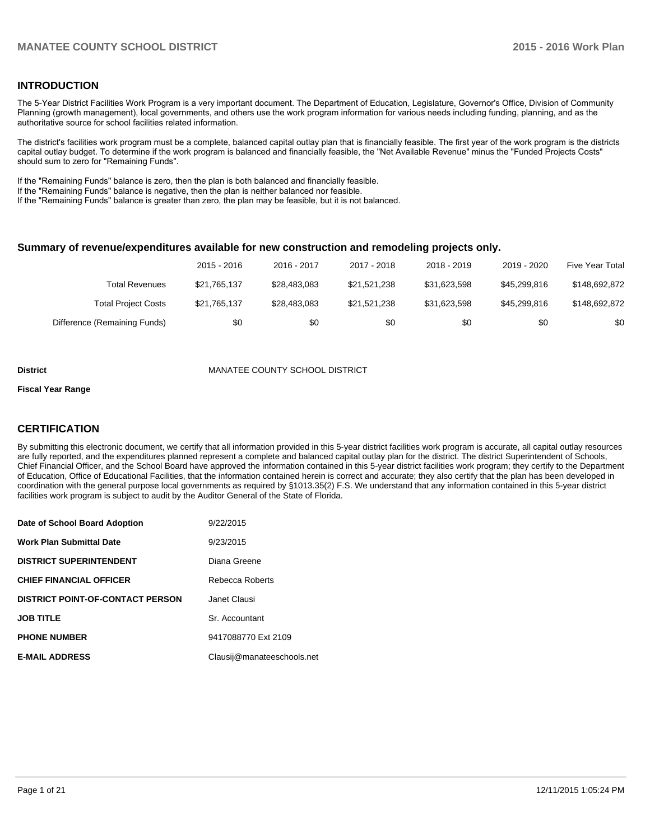## **INTRODUCTION**

The 5-Year District Facilities Work Program is a very important document. The Department of Education, Legislature, Governor's Office, Division of Community Planning (growth management), local governments, and others use the work program information for various needs including funding, planning, and as the authoritative source for school facilities related information.

The district's facilities work program must be a complete, balanced capital outlay plan that is financially feasible. The first year of the work program is the districts capital outlay budget. To determine if the work program is balanced and financially feasible, the "Net Available Revenue" minus the "Funded Projects Costs" should sum to zero for "Remaining Funds".

If the "Remaining Funds" balance is zero, then the plan is both balanced and financially feasible.

If the "Remaining Funds" balance is negative, then the plan is neither balanced nor feasible.

If the "Remaining Funds" balance is greater than zero, the plan may be feasible, but it is not balanced.

#### **Summary of revenue/expenditures available for new construction and remodeling projects only.**

|                              | 2015 - 2016  | 2016 - 2017  | 2017 - 2018  | 2018 - 2019  | 2019 - 2020  | Five Year Total |
|------------------------------|--------------|--------------|--------------|--------------|--------------|-----------------|
| <b>Total Revenues</b>        | \$21.765.137 | \$28,483,083 | \$21.521.238 | \$31.623.598 | \$45,299,816 | \$148.692.872   |
| <b>Total Project Costs</b>   | \$21,765,137 | \$28,483,083 | \$21.521.238 | \$31.623.598 | \$45,299,816 | \$148.692.872   |
| Difference (Remaining Funds) | \$0          | \$0          | \$0          | \$0          | \$0          | \$0             |

#### **District** MANATEE COUNTY SCHOOL DISTRICT

#### **Fiscal Year Range**

## **CERTIFICATION**

By submitting this electronic document, we certify that all information provided in this 5-year district facilities work program is accurate, all capital outlay resources are fully reported, and the expenditures planned represent a complete and balanced capital outlay plan for the district. The district Superintendent of Schools, Chief Financial Officer, and the School Board have approved the information contained in this 5-year district facilities work program; they certify to the Department of Education, Office of Educational Facilities, that the information contained herein is correct and accurate; they also certify that the plan has been developed in coordination with the general purpose local governments as required by §1013.35(2) F.S. We understand that any information contained in this 5-year district facilities work program is subject to audit by the Auditor General of the State of Florida.

| Date of School Board Adoption           | 9/22/2015                  |
|-----------------------------------------|----------------------------|
| <b>Work Plan Submittal Date</b>         | 9/23/2015                  |
| <b>DISTRICT SUPERINTENDENT</b>          | Diana Greene               |
| <b>CHIEF FINANCIAL OFFICER</b>          | Rebecca Roberts            |
| <b>DISTRICT POINT-OF-CONTACT PERSON</b> | Janet Clausi               |
| <b>JOB TITLE</b>                        | Sr. Accountant             |
| <b>PHONE NUMBER</b>                     | 9417088770 Ext 2109        |
| <b>E-MAIL ADDRESS</b>                   | Clausij@manateeschools.net |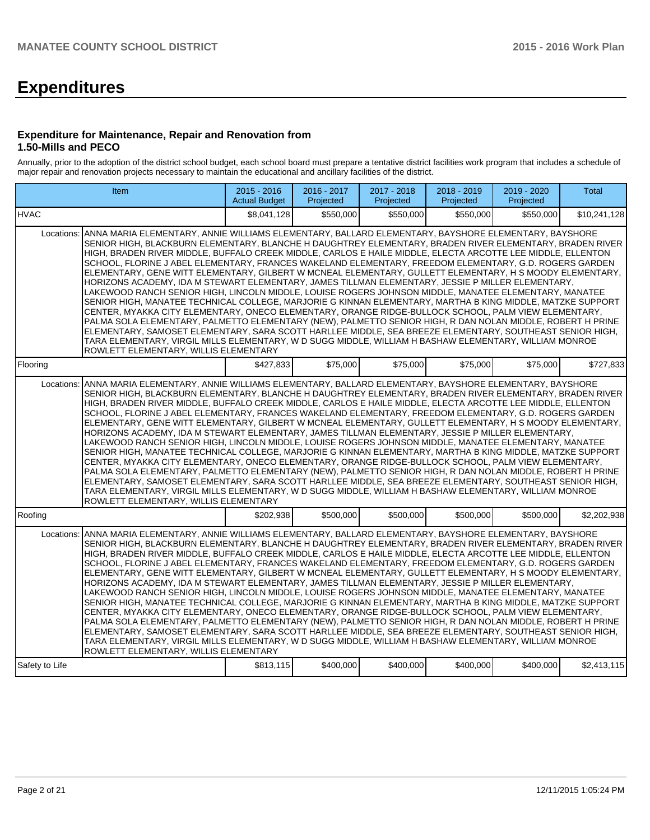# **Expenditures**

#### **Expenditure for Maintenance, Repair and Renovation from 1.50-Mills and PECO**

Annually, prior to the adoption of the district school budget, each school board must prepare a tentative district facilities work program that includes a schedule of major repair and renovation projects necessary to maintain the educational and ancillary facilities of the district.

|                | Item                                                                                                                                                                                                                                                                                                                                                                                                                                                                                                                                                                                                                                                                                                                                                                                                                                                                                                                                                                                                                                                                                                                                                                                                                                                                                                                                                                  | $2015 - 2016$<br><b>Actual Budget</b> | 2016 - 2017<br>Projected | 2017 - 2018<br>Projected | 2018 - 2019<br>Projected | 2019 - 2020<br>Projected | Total        |  |  |  |
|----------------|-----------------------------------------------------------------------------------------------------------------------------------------------------------------------------------------------------------------------------------------------------------------------------------------------------------------------------------------------------------------------------------------------------------------------------------------------------------------------------------------------------------------------------------------------------------------------------------------------------------------------------------------------------------------------------------------------------------------------------------------------------------------------------------------------------------------------------------------------------------------------------------------------------------------------------------------------------------------------------------------------------------------------------------------------------------------------------------------------------------------------------------------------------------------------------------------------------------------------------------------------------------------------------------------------------------------------------------------------------------------------|---------------------------------------|--------------------------|--------------------------|--------------------------|--------------------------|--------------|--|--|--|
| <b>HVAC</b>    |                                                                                                                                                                                                                                                                                                                                                                                                                                                                                                                                                                                                                                                                                                                                                                                                                                                                                                                                                                                                                                                                                                                                                                                                                                                                                                                                                                       | \$8,041,128                           | \$550,000                | \$550,000                | \$550,000                | \$550,000                | \$10,241,128 |  |  |  |
| Locations:     | ANNA MARIA ELEMENTARY, ANNIE WILLIAMS ELEMENTARY, BALLARD ELEMENTARY, BAYSHORE ELEMENTARY, BAYSHORE<br>SENIOR HIGH, BLACKBURN ELEMENTARY, BLANCHE H DAUGHTREY ELEMENTARY, BRADEN RIVER ELEMENTARY, BRADEN RIVER<br>HIGH, BRADEN RIVER MIDDLE, BUFFALO CREEK MIDDLE, CARLOS E HAILE MIDDLE, ELECTA ARCOTTE LEE MIDDLE, ELLENTON<br>SCHOOL, FLORINE J ABEL ELEMENTARY, FRANCES WAKELAND ELEMENTARY, FREEDOM ELEMENTARY, G.D. ROGERS GARDEN<br>ELEMENTARY, GENE WITT ELEMENTARY, GILBERT W MCNEAL ELEMENTARY, GULLETT ELEMENTARY, H S MOODY ELEMENTARY,<br>HORIZONS ACADEMY, IDA M STEWART ELEMENTARY, JAMES TILLMAN ELEMENTARY, JESSIE P MILLER ELEMENTARY,<br>LAKEWOOD RANCH SENIOR HIGH, LINCOLN MIDDLE, LOUISE ROGERS JOHNSON MIDDLE, MANATEE ELEMENTARY, MANATEE<br>SENIOR HIGH, MANATEE TECHNICAL COLLEGE, MARJORIE G KINNAN ELEMENTARY, MARTHA B KING MIDDLE, MATZKE SUPPORT<br>CENTER, MYAKKA CITY ELEMENTARY, ONECO ELEMENTARY, ORANGE RIDGE-BULLOCK SCHOOL, PALM VIEW ELEMENTARY,<br>PALMA SOLA ELEMENTARY, PALMETTO ELEMENTARY (NEW), PALMETTO SENIOR HIGH, R DAN NOLAN MIDDLE, ROBERT H PRINE<br>ELEMENTARY, SAMOSET ELEMENTARY, SARA SCOTT HARLLEE MIDDLE, SEA BREEZE ELEMENTARY, SOUTHEAST SENIOR HIGH,<br>TARA ELEMENTARY, VIRGIL MILLS ELEMENTARY, W D SUGG MIDDLE, WILLIAM H BASHAW ELEMENTARY, WILLIAM MONROE<br>ROWLETT ELEMENTARY, WILLIS ELEMENTARY |                                       |                          |                          |                          |                          |              |  |  |  |
| Flooring       |                                                                                                                                                                                                                                                                                                                                                                                                                                                                                                                                                                                                                                                                                                                                                                                                                                                                                                                                                                                                                                                                                                                                                                                                                                                                                                                                                                       | \$427,833                             | \$75,000                 | \$75,000                 | \$75,000                 | \$75,000                 | \$727,833    |  |  |  |
| Locations:     | ANNA MARIA ELEMENTARY, ANNIE WILLIAMS ELEMENTARY, BALLARD ELEMENTARY, BAYSHORE ELEMENTARY, BAYSHORE<br>SENIOR HIGH, BLACKBURN ELEMENTARY, BLANCHE H DAUGHTREY ELEMENTARY, BRADEN RIVER ELEMENTARY, BRADEN RIVER<br>HIGH, BRADEN RIVER MIDDLE, BUFFALO CREEK MIDDLE, CARLOS E HAILE MIDDLE, ELECTA ARCOTTE LEE MIDDLE, ELLENTON<br>SCHOOL, FLORINE J ABEL ELEMENTARY, FRANCES WAKELAND ELEMENTARY, FREEDOM ELEMENTARY, G.D. ROGERS GARDEN<br>ELEMENTARY, GENE WITT ELEMENTARY, GILBERT W MCNEAL ELEMENTARY, GULLETT ELEMENTARY, H S MOODY ELEMENTARY,<br>HORIZONS ACADEMY, IDA M STEWART ELEMENTARY, JAMES TILLMAN ELEMENTARY, JESSIE P MILLER ELEMENTARY,<br>LAKEWOOD RANCH SENIOR HIGH, LINCOLN MIDDLE, LOUISE ROGERS JOHNSON MIDDLE, MANATEE ELEMENTARY, MANATEE<br>SENIOR HIGH, MANATEE TECHNICAL COLLEGE, MARJORIE G KINNAN ELEMENTARY, MARTHA B KING MIDDLE, MATZKE SUPPORT<br>CENTER, MYAKKA CITY ELEMENTARY, ONECO ELEMENTARY, ORANGE RIDGE-BULLOCK SCHOOL, PALM VIEW ELEMENTARY,<br>PALMA SOLA ELEMENTARY, PALMETTO ELEMENTARY (NEW), PALMETTO SENIOR HIGH, R DAN NOLAN MIDDLE, ROBERT H PRINE<br>ELEMENTARY, SAMOSET ELEMENTARY, SARA SCOTT HARLLEE MIDDLE, SEA BREEZE ELEMENTARY, SOUTHEAST SENIOR HIGH,<br>TARA ELEMENTARY, VIRGIL MILLS ELEMENTARY, W D SUGG MIDDLE, WILLIAM H BASHAW ELEMENTARY, WILLIAM MONROE<br>ROWLETT ELEMENTARY, WILLIS ELEMENTARY |                                       |                          |                          |                          |                          |              |  |  |  |
| Roofing        |                                                                                                                                                                                                                                                                                                                                                                                                                                                                                                                                                                                                                                                                                                                                                                                                                                                                                                                                                                                                                                                                                                                                                                                                                                                                                                                                                                       | \$202.938                             | \$500,000                | \$500,000                | \$500,000                | \$500,000                | \$2,202,938  |  |  |  |
| Locations:     | ANNA MARIA ELEMENTARY, ANNIE WILLIAMS ELEMENTARY, BALLARD ELEMENTARY, BAYSHORE ELEMENTARY, BAYSHORE<br>SENIOR HIGH, BLACKBURN ELEMENTARY, BLANCHE H DAUGHTREY ELEMENTARY, BRADEN RIVER ELEMENTARY, BRADEN RIVER<br>HIGH, BRADEN RIVER MIDDLE, BUFFALO CREEK MIDDLE, CARLOS E HAILE MIDDLE, ELECTA ARCOTTE LEE MIDDLE, ELLENTON<br>SCHOOL, FLORINE J ABEL ELEMENTARY, FRANCES WAKELAND ELEMENTARY, FREEDOM ELEMENTARY, G.D. ROGERS GARDEN<br>ELEMENTARY, GENE WITT ELEMENTARY, GILBERT W MCNEAL ELEMENTARY, GULLETT ELEMENTARY, H S MOODY ELEMENTARY,<br>HORIZONS ACADEMY, IDA M STEWART ELEMENTARY, JAMES TILLMAN ELEMENTARY, JESSIE P MILLER ELEMENTARY,<br>LAKEWOOD RANCH SENIOR HIGH, LINCOLN MIDDLE, LOUISE ROGERS JOHNSON MIDDLE, MANATEE ELEMENTARY, MANATEE<br>SENIOR HIGH, MANATEE TECHNICAL COLLEGE, MARJORIE G KINNAN ELEMENTARY, MARTHA B KING MIDDLE, MATZKE SUPPORT<br>CENTER, MYAKKA CITY ELEMENTARY, ONECO ELEMENTARY, ORANGE RIDGE-BULLOCK SCHOOL, PALM VIEW ELEMENTARY,<br>PALMA SOLA ELEMENTARY, PALMETTO ELEMENTARY (NEW), PALMETTO SENIOR HIGH, R DAN NOLAN MIDDLE, ROBERT H PRINE<br>ELEMENTARY, SAMOSET ELEMENTARY, SARA SCOTT HARLLEE MIDDLE, SEA BREEZE ELEMENTARY, SOUTHEAST SENIOR HIGH,<br>TARA ELEMENTARY, VIRGIL MILLS ELEMENTARY, W D SUGG MIDDLE, WILLIAM H BASHAW ELEMENTARY, WILLIAM MONROE<br>ROWLETT ELEMENTARY, WILLIS ELEMENTARY |                                       |                          |                          |                          |                          |              |  |  |  |
| Safety to Life |                                                                                                                                                                                                                                                                                                                                                                                                                                                                                                                                                                                                                                                                                                                                                                                                                                                                                                                                                                                                                                                                                                                                                                                                                                                                                                                                                                       | \$813,115                             | \$400,000                | \$400,000                | \$400,000                | \$400,000                | \$2,413,115  |  |  |  |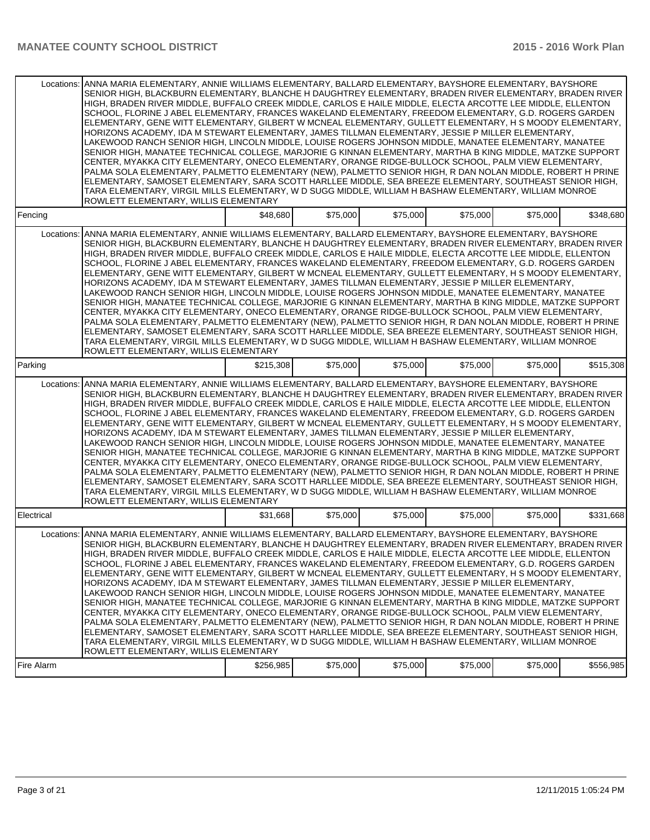| Locations: | ANNA MARIA ELEMENTARY, ANNIE WILLIAMS ELEMENTARY, BALLARD ELEMENTARY, BAYSHORE ELEMENTARY, BAYSHORE<br>SENIOR HIGH, BLACKBURN ELEMENTARY, BLANCHE H DAUGHTREY ELEMENTARY, BRADEN RIVER ELEMENTARY, BRADEN RIVER<br>HIGH, BRADEN RIVER MIDDLE, BUFFALO CREEK MIDDLE, CARLOS E HAILE MIDDLE, ELECTA ARCOTTE LEE MIDDLE, ELLENTON<br>SCHOOL, FLORINE J ABEL ELEMENTARY, FRANCES WAKELAND ELEMENTARY, FREEDOM ELEMENTARY, G.D. ROGERS GARDEN<br>ELEMENTARY, GENE WITT ELEMENTARY, GILBERT W MCNEAL ELEMENTARY, GULLETT ELEMENTARY, H S MOODY ELEMENTARY,<br>HORIZONS ACADEMY, IDA M STEWART ELEMENTARY, JAMES TILLMAN ELEMENTARY, JESSIE P MILLER ELEMENTARY,<br>LAKEWOOD RANCH SENIOR HIGH, LINCOLN MIDDLE, LOUISE ROGERS JOHNSON MIDDLE, MANATEE ELEMENTARY, MANATEE<br>SENIOR HIGH, MANATEE TECHNICAL COLLEGE, MARJORIE G KINNAN ELEMENTARY, MARTHA B KING MIDDLE, MATZKE SUPPORT<br>CENTER, MYAKKA CITY ELEMENTARY, ONECO ELEMENTARY, ORANGE RIDGE-BULLOCK SCHOOL, PALM VIEW ELEMENTARY,<br>PALMA SOLA ELEMENTARY, PALMETTO ELEMENTARY (NEW), PALMETTO SENIOR HIGH, R DAN NOLAN MIDDLE, ROBERT H PRINE<br> ELEMENTARY, SAMOSET ELEMENTARY, SARA SCOTT HARLLEE MIDDLE, SEA BREEZE ELEMENTARY, SOUTHEAST SENIOR HIGH,<br>TARA ELEMENTARY, VIRGIL MILLS ELEMENTARY, W D SUGG MIDDLE, WILLIAM H BASHAW ELEMENTARY, WILLIAM MONROE<br>ROWLETT ELEMENTARY, WILLIS ELEMENTARY |           |          |          |          |          |           |
|------------|------------------------------------------------------------------------------------------------------------------------------------------------------------------------------------------------------------------------------------------------------------------------------------------------------------------------------------------------------------------------------------------------------------------------------------------------------------------------------------------------------------------------------------------------------------------------------------------------------------------------------------------------------------------------------------------------------------------------------------------------------------------------------------------------------------------------------------------------------------------------------------------------------------------------------------------------------------------------------------------------------------------------------------------------------------------------------------------------------------------------------------------------------------------------------------------------------------------------------------------------------------------------------------------------------------------------------------------------------------------------|-----------|----------|----------|----------|----------|-----------|
| Fencing    |                                                                                                                                                                                                                                                                                                                                                                                                                                                                                                                                                                                                                                                                                                                                                                                                                                                                                                                                                                                                                                                                                                                                                                                                                                                                                                                                                                        | \$48,680  | \$75,000 | \$75,000 | \$75,000 | \$75,000 | \$348,680 |
| Locations: | ANNA MARIA ELEMENTARY, ANNIE WILLIAMS ELEMENTARY, BALLARD ELEMENTARY, BAYSHORE ELEMENTARY, BAYSHORE<br>SENIOR HIGH, BLACKBURN ELEMENTARY, BLANCHE H DAUGHTREY ELEMENTARY, BRADEN RIVER ELEMENTARY, BRADEN RIVER<br>HIGH, BRADEN RIVER MIDDLE, BUFFALO CREEK MIDDLE, CARLOS E HAILE MIDDLE, ELECTA ARCOTTE LEE MIDDLE, ELLENTON<br>SCHOOL, FLORINE J ABEL ELEMENTARY, FRANCES WAKELAND ELEMENTARY, FREEDOM ELEMENTARY, G.D. ROGERS GARDEN<br>ELEMENTARY, GENE WITT ELEMENTARY, GILBERT W MCNEAL ELEMENTARY, GULLETT ELEMENTARY, H S MOODY ELEMENTARY,<br>HORIZONS ACADEMY, IDA M STEWART ELEMENTARY, JAMES TILLMAN ELEMENTARY, JESSIE P MILLER ELEMENTARY,<br>LAKEWOOD RANCH SENIOR HIGH, LINCOLN MIDDLE, LOUISE ROGERS JOHNSON MIDDLE, MANATEE ELEMENTARY, MANATEE<br>SENIOR HIGH, MANATEE TECHNICAL COLLEGE, MARJORIE G KINNAN ELEMENTARY, MARTHA B KING MIDDLE, MATZKE SUPPORT<br>CENTER, MYAKKA CITY ELEMENTARY, ONECO ELEMENTARY, ORANGE RIDGE-BULLOCK SCHOOL, PALM VIEW ELEMENTARY,<br>PALMA SOLA ELEMENTARY, PALMETTO ELEMENTARY (NEW), PALMETTO SENIOR HIGH, R DAN NOLAN MIDDLE, ROBERT H PRINE<br>IELEMENTARY, SAMOSET ELEMENTARY, SARA SCOTT HARLLEE MIDDLE, SEA BREEZE ELEMENTARY, SOUTHEAST SENIOR HIGH,<br>TARA ELEMENTARY, VIRGIL MILLS ELEMENTARY, W D SUGG MIDDLE, WILLIAM H BASHAW ELEMENTARY, WILLIAM MONROE<br>ROWLETT ELEMENTARY, WILLIS ELEMENTARY |           |          |          |          |          |           |
| Parking    |                                                                                                                                                                                                                                                                                                                                                                                                                                                                                                                                                                                                                                                                                                                                                                                                                                                                                                                                                                                                                                                                                                                                                                                                                                                                                                                                                                        | \$215,308 | \$75,000 | \$75,000 | \$75,000 | \$75,000 | \$515,308 |
| Locations: | ANNA MARIA ELEMENTARY, ANNIE WILLIAMS ELEMENTARY, BALLARD ELEMENTARY, BAYSHORE ELEMENTARY, BAYSHORE<br>SENIOR HIGH, BLACKBURN ELEMENTARY, BLANCHE H DAUGHTREY ELEMENTARY, BRADEN RIVER ELEMENTARY, BRADEN RIVER<br>HIGH, BRADEN RIVER MIDDLE, BUFFALO CREEK MIDDLE, CARLOS E HAILE MIDDLE, ELECTA ARCOTTE LEE MIDDLE, ELLENTON<br>SCHOOL, FLORINE J ABEL ELEMENTARY, FRANCES WAKELAND ELEMENTARY, FREEDOM ELEMENTARY, G.D. ROGERS GARDEN<br>ELEMENTARY, GENE WITT ELEMENTARY, GILBERT W MCNEAL ELEMENTARY, GULLETT ELEMENTARY, H S MOODY ELEMENTARY,<br>HORIZONS ACADEMY, IDA M STEWART ELEMENTARY, JAMES TILLMAN ELEMENTARY, JESSIE P MILLER ELEMENTARY,<br>LAKEWOOD RANCH SENIOR HIGH, LINCOLN MIDDLE, LOUISE ROGERS JOHNSON MIDDLE, MANATEE ELEMENTARY, MANATEE<br>SENIOR HIGH, MANATEE TECHNICAL COLLEGE, MARJORIE G KINNAN ELEMENTARY, MARTHA B KING MIDDLE, MATZKE SUPPORT<br>CENTER, MYAKKA CITY ELEMENTARY, ONECO ELEMENTARY, ORANGE RIDGE-BULLOCK SCHOOL, PALM VIEW ELEMENTARY,<br>PALMA SOLA ELEMENTARY, PALMETTO ELEMENTARY (NEW), PALMETTO SENIOR HIGH, R DAN NOLAN MIDDLE, ROBERT H PRINE<br>ELEMENTARY, SAMOSET ELEMENTARY, SARA SCOTT HARLLEE MIDDLE, SEA BREEZE ELEMENTARY, SOUTHEAST SENIOR HIGH,<br>TARA ELEMENTARY, VIRGIL MILLS ELEMENTARY, W D SUGG MIDDLE, WILLIAM H BASHAW ELEMENTARY, WILLIAM MONROE<br>ROWLETT ELEMENTARY, WILLIS ELEMENTARY  |           |          |          |          |          |           |
| Electrical |                                                                                                                                                                                                                                                                                                                                                                                                                                                                                                                                                                                                                                                                                                                                                                                                                                                                                                                                                                                                                                                                                                                                                                                                                                                                                                                                                                        | \$31,668  | \$75,000 | \$75,000 | \$75,000 | \$75,000 | \$331,668 |
| Locations: | ANNA MARIA ELEMENTARY, ANNIE WILLIAMS ELEMENTARY, BALLARD ELEMENTARY, BAYSHORE ELEMENTARY, BAYSHORE<br>SENIOR HIGH, BLACKBURN ELEMENTARY, BLANCHE H DAUGHTREY ELEMENTARY, BRADEN RIVER ELEMENTARY, BRADEN RIVER<br>HIGH, BRADEN RIVER MIDDLE, BUFFALO CREEK MIDDLE, CARLOS E HAILE MIDDLE, ELECTA ARCOTTE LEE MIDDLE, ELLENTON<br>SCHOOL. FLORINE J ABEL ELEMENTARY. FRANCES WAKELAND ELEMENTARY. FREEDOM ELEMENTARY. G.D. ROGERS GARDEN<br>ELEMENTARY, GENE WITT ELEMENTARY, GILBERT W MCNEAL ELEMENTARY, GULLETT ELEMENTARY, H S MOODY ELEMENTARY,<br>HORIZONS ACADEMY, IDA M STEWART ELEMENTARY, JAMES TILLMAN ELEMENTARY, JESSIE P MILLER ELEMENTARY,<br>LAKEWOOD RANCH SENIOR HIGH, LINCOLN MIDDLE, LOUISE ROGERS JOHNSON MIDDLE, MANATEE ELEMENTARY, MANATEE<br>SENIOR HIGH, MANATEE TECHNICAL COLLEGE, MARJORIE G KINNAN ELEMENTARY, MARTHA B KING MIDDLE, MATZKE SUPPORT<br>CENTER, MYAKKA CITY ELEMENTARY, ONECO ELEMENTARY, ORANGE RIDGE-BULLOCK SCHOOL, PALM VIEW ELEMENTARY,<br>PALMA SOLA ELEMENTARY, PALMETTO ELEMENTARY (NEW), PALMETTO SENIOR HIGH, R DAN NOLAN MIDDLE, ROBERT H PRINE<br> ELEMENTARY, SAMOSET ELEMENTARY, SARA SCOTT HARLLEE MIDDLE, SEA BREEZE ELEMENTARY, SOUTHEAST SENIOR HIGH,<br>TARA ELEMENTARY, VIRGIL MILLS ELEMENTARY, W D SUGG MIDDLE, WILLIAM H BASHAW ELEMENTARY, WILLIAM MONROE<br>ROWLETT ELEMENTARY, WILLIS ELEMENTARY |           |          |          |          |          |           |
| Fire Alarm |                                                                                                                                                                                                                                                                                                                                                                                                                                                                                                                                                                                                                                                                                                                                                                                                                                                                                                                                                                                                                                                                                                                                                                                                                                                                                                                                                                        | \$256,985 | \$75,000 | \$75,000 | \$75,000 | \$75,000 | \$556,985 |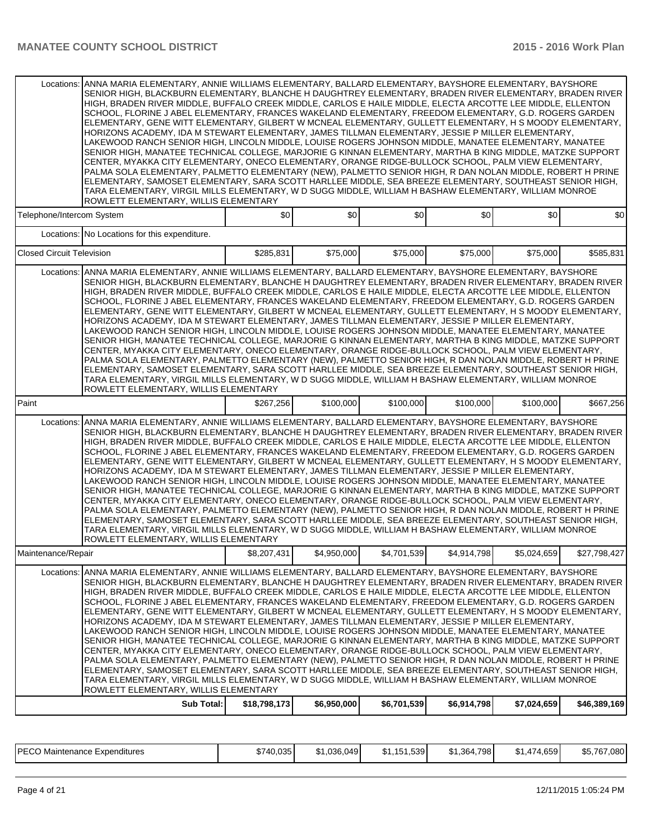|                                                                                                                                                                                                                                                                                                                                                                                                                                                                                                                                                                                                                                                                                                                                                                                                                                                                                                                                                                                                                                                                                                                                                                                                                                                                                                                                                                                     | Locations: ANNA MARIA ELEMENTARY, ANNIE WILLIAMS ELEMENTARY, BALLARD ELEMENTARY, BAYSHORE ELEMENTARY, BAYSHORE<br>SENIOR HIGH, BLACKBURN ELEMENTARY, BLANCHE H DAUGHTREY ELEMENTARY, BRADEN RIVER ELEMENTARY, BRADEN RIVER<br>HIGH, BRADEN RIVER MIDDLE, BUFFALO CREEK MIDDLE, CARLOS E HAILE MIDDLE, ELECTA ARCOTTE LEE MIDDLE, ELLENTON<br>SCHOOL, FLORINE J ABEL ELEMENTARY, FRANCES WAKELAND ELEMENTARY, FREEDOM ELEMENTARY, G.D. ROGERS GARDEN<br>ELEMENTARY, GENE WITT ELEMENTARY, GILBERT W MCNEAL ELEMENTARY, GULLETT ELEMENTARY, H S MOODY ELEMENTARY,<br>HORIZONS ACADEMY, IDA M STEWART ELEMENTARY, JAMES TILLMAN ELEMENTARY, JESSIE P MILLER ELEMENTARY,<br>LAKEWOOD RANCH SENIOR HIGH, LINCOLN MIDDLE, LOUISE ROGERS JOHNSON MIDDLE, MANATEE ELEMENTARY, MANATEE<br>SENIOR HIGH, MANATEE TECHNICAL COLLEGE, MARJORIE G KINNAN ELEMENTARY, MARTHA B KING MIDDLE, MATZKE SUPPORT<br>CENTER, MYAKKA CITY ELEMENTARY, ONECO ELEMENTARY, ORANGE RIDGE-BULLOCK SCHOOL, PALM VIEW ELEMENTARY,<br>PALMA SOLA ELEMENTARY, PALMETTO ELEMENTARY (NEW), PALMETTO SENIOR HIGH, R DAN NOLAN MIDDLE, ROBERT H PRINE<br>ELEMENTARY, SAMOSET ELEMENTARY, SARA SCOTT HARLLEE MIDDLE, SEA BREEZE ELEMENTARY, SOUTHEAST SENIOR HIGH,<br>TARA ELEMENTARY, VIRGIL MILLS ELEMENTARY, W D SUGG MIDDLE, WILLIAM H BASHAW ELEMENTARY, WILLIAM MONROE<br>ROWLETT ELEMENTARY, WILLIS ELEMENTARY |             |             |                  |                  |              |  |  |  |  |  |
|-------------------------------------------------------------------------------------------------------------------------------------------------------------------------------------------------------------------------------------------------------------------------------------------------------------------------------------------------------------------------------------------------------------------------------------------------------------------------------------------------------------------------------------------------------------------------------------------------------------------------------------------------------------------------------------------------------------------------------------------------------------------------------------------------------------------------------------------------------------------------------------------------------------------------------------------------------------------------------------------------------------------------------------------------------------------------------------------------------------------------------------------------------------------------------------------------------------------------------------------------------------------------------------------------------------------------------------------------------------------------------------|----------------------------------------------------------------------------------------------------------------------------------------------------------------------------------------------------------------------------------------------------------------------------------------------------------------------------------------------------------------------------------------------------------------------------------------------------------------------------------------------------------------------------------------------------------------------------------------------------------------------------------------------------------------------------------------------------------------------------------------------------------------------------------------------------------------------------------------------------------------------------------------------------------------------------------------------------------------------------------------------------------------------------------------------------------------------------------------------------------------------------------------------------------------------------------------------------------------------------------------------------------------------------------------------------------------------------------------------------------------------------------|-------------|-------------|------------------|------------------|--------------|--|--|--|--|--|
| Telephone/Intercom System                                                                                                                                                                                                                                                                                                                                                                                                                                                                                                                                                                                                                                                                                                                                                                                                                                                                                                                                                                                                                                                                                                                                                                                                                                                                                                                                                           | \$0                                                                                                                                                                                                                                                                                                                                                                                                                                                                                                                                                                                                                                                                                                                                                                                                                                                                                                                                                                                                                                                                                                                                                                                                                                                                                                                                                                              | \$0         | \$0         | \$0 <sub>1</sub> | \$0 <sub>1</sub> | \$0          |  |  |  |  |  |
| Locations: No Locations for this expenditure.                                                                                                                                                                                                                                                                                                                                                                                                                                                                                                                                                                                                                                                                                                                                                                                                                                                                                                                                                                                                                                                                                                                                                                                                                                                                                                                                       |                                                                                                                                                                                                                                                                                                                                                                                                                                                                                                                                                                                                                                                                                                                                                                                                                                                                                                                                                                                                                                                                                                                                                                                                                                                                                                                                                                                  |             |             |                  |                  |              |  |  |  |  |  |
| <b>Closed Circuit Television</b>                                                                                                                                                                                                                                                                                                                                                                                                                                                                                                                                                                                                                                                                                                                                                                                                                                                                                                                                                                                                                                                                                                                                                                                                                                                                                                                                                    | \$285,831                                                                                                                                                                                                                                                                                                                                                                                                                                                                                                                                                                                                                                                                                                                                                                                                                                                                                                                                                                                                                                                                                                                                                                                                                                                                                                                                                                        | \$75,000    | \$75,000    | \$75,000         | \$75,000         | \$585,831    |  |  |  |  |  |
| Locations: ANNA MARIA ELEMENTARY, ANNIE WILLIAMS ELEMENTARY, BALLARD ELEMENTARY, BAYSHORE ELEMENTARY, BAYSHORE<br>SENIOR HIGH, BLACKBURN ELEMENTARY, BLANCHE H DAUGHTREY ELEMENTARY, BRADEN RIVER ELEMENTARY, BRADEN RIVER<br>HIGH, BRADEN RIVER MIDDLE, BUFFALO CREEK MIDDLE, CARLOS E HAILE MIDDLE, ELECTA ARCOTTE LEE MIDDLE, ELLENTON<br>SCHOOL, FLORINE J ABEL ELEMENTARY, FRANCES WAKELAND ELEMENTARY, FREEDOM ELEMENTARY, G.D. ROGERS GARDEN<br>ELEMENTARY, GENE WITT ELEMENTARY, GILBERT W MCNEAL ELEMENTARY, GULLETT ELEMENTARY, H S MOODY ELEMENTARY,<br>HORIZONS ACADEMY, IDA M STEWART ELEMENTARY, JAMES TILLMAN ELEMENTARY, JESSIE P MILLER ELEMENTARY,<br>LAKEWOOD RANCH SENIOR HIGH, LINCOLN MIDDLE, LOUISE ROGERS JOHNSON MIDDLE, MANATEE ELEMENTARY, MANATEE<br>SENIOR HIGH, MANATEE TECHNICAL COLLEGE, MARJORIE G KINNAN ELEMENTARY, MARTHA B KING MIDDLE, MATZKE SUPPORT<br>CENTER, MYAKKA CITY ELEMENTARY, ONECO ELEMENTARY, ORANGE RIDGE-BULLOCK SCHOOL, PALM VIEW ELEMENTARY,<br>PALMA SOLA ELEMENTARY, PALMETTO ELEMENTARY (NEW), PALMETTO SENIOR HIGH, R DAN NOLAN MIDDLE, ROBERT H PRINE<br>ELEMENTARY, SAMOSET ELEMENTARY, SARA SCOTT HARLLEE MIDDLE, SEA BREEZE ELEMENTARY, SOUTHEAST SENIOR HIGH,<br>TARA ELEMENTARY, VIRGIL MILLS ELEMENTARY, W D SUGG MIDDLE, WILLIAM H BASHAW ELEMENTARY, WILLIAM MONROE<br>ROWLETT ELEMENTARY, WILLIS ELEMENTARY    |                                                                                                                                                                                                                                                                                                                                                                                                                                                                                                                                                                                                                                                                                                                                                                                                                                                                                                                                                                                                                                                                                                                                                                                                                                                                                                                                                                                  |             |             |                  |                  |              |  |  |  |  |  |
| Paint                                                                                                                                                                                                                                                                                                                                                                                                                                                                                                                                                                                                                                                                                                                                                                                                                                                                                                                                                                                                                                                                                                                                                                                                                                                                                                                                                                               | \$267,256                                                                                                                                                                                                                                                                                                                                                                                                                                                                                                                                                                                                                                                                                                                                                                                                                                                                                                                                                                                                                                                                                                                                                                                                                                                                                                                                                                        | \$100,000   | \$100,000   | \$100,000        | \$100,000        | \$667,256    |  |  |  |  |  |
| ANNA MARIA ELEMENTARY, ANNIE WILLIAMS ELEMENTARY, BALLARD ELEMENTARY, BAYSHORE ELEMENTARY, BAYSHORE<br>Locations:<br>SENIOR HIGH, BLACKBURN ELEMENTARY, BLANCHE H DAUGHTREY ELEMENTARY, BRADEN RIVER ELEMENTARY, BRADEN RIVER<br>HIGH, BRADEN RIVER MIDDLE, BUFFALO CREEK MIDDLE, CARLOS E HAILE MIDDLE, ELECTA ARCOTTE LEE MIDDLE, ELLENTON<br>SCHOOL, FLORINE J ABEL ELEMENTARY, FRANCES WAKELAND ELEMENTARY, FREEDOM ELEMENTARY, G.D. ROGERS GARDEN<br>ELEMENTARY, GENE WITT ELEMENTARY, GILBERT W MCNEAL ELEMENTARY, GULLETT ELEMENTARY, H S MOODY ELEMENTARY,<br>HORIZONS ACADEMY, IDA M STEWART ELEMENTARY, JAMES TILLMAN ELEMENTARY, JESSIE P MILLER ELEMENTARY,<br>LAKEWOOD RANCH SENIOR HIGH, LINCOLN MIDDLE, LOUISE ROGERS JOHNSON MIDDLE, MANATEE ELEMENTARY, MANATEE<br>SENIOR HIGH, MANATEE TECHNICAL COLLEGE, MARJORIE G KINNAN ELEMENTARY, MARTHA B KING MIDDLE, MATZKE SUPPORT<br>CENTER, MYAKKA CITY ELEMENTARY, ONECO ELEMENTARY, ORANGE RIDGE-BULLOCK SCHOOL, PALM VIEW ELEMENTARY,                                                                                                                                                                                                                                                                                                                                                                              |                                                                                                                                                                                                                                                                                                                                                                                                                                                                                                                                                                                                                                                                                                                                                                                                                                                                                                                                                                                                                                                                                                                                                                                                                                                                                                                                                                                  |             |             |                  |                  |              |  |  |  |  |  |
| PALMA SOLA ELEMENTARY, PALMETTO ELEMENTARY (NEW), PALMETTO SENIOR HIGH, R DAN NOLAN MIDDLE, ROBERT H PRINE<br>ELEMENTARY, SAMOSET ELEMENTARY, SARA SCOTT HARLLEE MIDDLE, SEA BREEZE ELEMENTARY, SOUTHEAST SENIOR HIGH,<br>TARA ELEMENTARY, VIRGIL MILLS ELEMENTARY, W D SUGG MIDDLE, WILLIAM H BASHAW ELEMENTARY, WILLIAM MONROE<br>ROWLETT ELEMENTARY, WILLIS ELEMENTARY                                                                                                                                                                                                                                                                                                                                                                                                                                                                                                                                                                                                                                                                                                                                                                                                                                                                                                                                                                                                           |                                                                                                                                                                                                                                                                                                                                                                                                                                                                                                                                                                                                                                                                                                                                                                                                                                                                                                                                                                                                                                                                                                                                                                                                                                                                                                                                                                                  |             |             |                  |                  |              |  |  |  |  |  |
| Maintenance/Repair                                                                                                                                                                                                                                                                                                                                                                                                                                                                                                                                                                                                                                                                                                                                                                                                                                                                                                                                                                                                                                                                                                                                                                                                                                                                                                                                                                  | \$8,207,431                                                                                                                                                                                                                                                                                                                                                                                                                                                                                                                                                                                                                                                                                                                                                                                                                                                                                                                                                                                                                                                                                                                                                                                                                                                                                                                                                                      | \$4,950,000 | \$4,701,539 | \$4,914,798      | \$5,024,659      | \$27,798,427 |  |  |  |  |  |
| ANNA MARIA ELEMENTARY, ANNIE WILLIAMS ELEMENTARY, BALLARD ELEMENTARY, BAYSHORE ELEMENTARY, BAYSHORE<br>Locations:<br>SENIOR HIGH, BLACKBURN ELEMENTARY, BLANCHE H DAUGHTREY ELEMENTARY, BRADEN RIVER ELEMENTARY, BRADEN RIVER<br>HIGH, BRADEN RIVER MIDDLE, BUFFALO CREEK MIDDLE, CARLOS E HAILE MIDDLE, ELECTA ARCOTTE LEE MIDDLE, ELLENTON<br>SCHOOL, FLORINE J ABEL ELEMENTARY, FRANCES WAKELAND ELEMENTARY, FREEDOM ELEMENTARY, G.D. ROGERS GARDEN<br>ELEMENTARY, GENE WITT ELEMENTARY, GILBERT W MCNEAL ELEMENTARY, GULLETT ELEMENTARY, H S MOODY ELEMENTARY,<br>HORIZONS ACADEMY, IDA M STEWART ELEMENTARY, JAMES TILLMAN ELEMENTARY, JESSIE P MILLER ELEMENTARY,<br>LAKEWOOD RANCH SENIOR HIGH, LINCOLN MIDDLE, LOUISE ROGERS JOHNSON MIDDLE, MANATEE ELEMENTARY, MANATEE<br>SENIOR HIGH, MANATEE TECHNICAL COLLEGE, MARJORIE G KINNAN ELEMENTARY, MARTHA B KING MIDDLE, MATZKE SUPPORT<br>CENTER, MYAKKA CITY ELEMENTARY, ONECO ELEMENTARY, ORANGE RIDGE-BULLOCK SCHOOL, PALM VIEW ELEMENTARY,<br>PALMA SOLA ELEMENTARY. PALMETTO ELEMENTARY (NEW). PALMETTO SENIOR HIGH. R DAN NOLAN MIDDLE. ROBERT H PRINE<br>ELEMENTARY, SAMOSET ELEMENTARY, SARA SCOTT HARLLEE MIDDLE, SEA BREEZE ELEMENTARY, SOUTHEAST SENIOR HIGH,<br>TARA ELEMENTARY, VIRGIL MILLS ELEMENTARY, W D SUGG MIDDLE, WILLIAM H BASHAW ELEMENTARY, WILLIAM MONROE<br>ROWLETT ELEMENTARY, WILLIS ELEMENTARY |                                                                                                                                                                                                                                                                                                                                                                                                                                                                                                                                                                                                                                                                                                                                                                                                                                                                                                                                                                                                                                                                                                                                                                                                                                                                                                                                                                                  |             |             |                  |                  |              |  |  |  |  |  |

| <b>IPFCO</b><br>Expenditures<br>Maintenance<br>ั∟∪∪ | \$740,035 | 1.036.049 | 151.539<br>.<br><b>DI.</b> | \$1.364.798 | 474.659<br>$\sim$<br>$\prime\prime\prime$<br>. ۱ س | \$5,767,080 |
|-----------------------------------------------------|-----------|-----------|----------------------------|-------------|----------------------------------------------------|-------------|
|-----------------------------------------------------|-----------|-----------|----------------------------|-------------|----------------------------------------------------|-------------|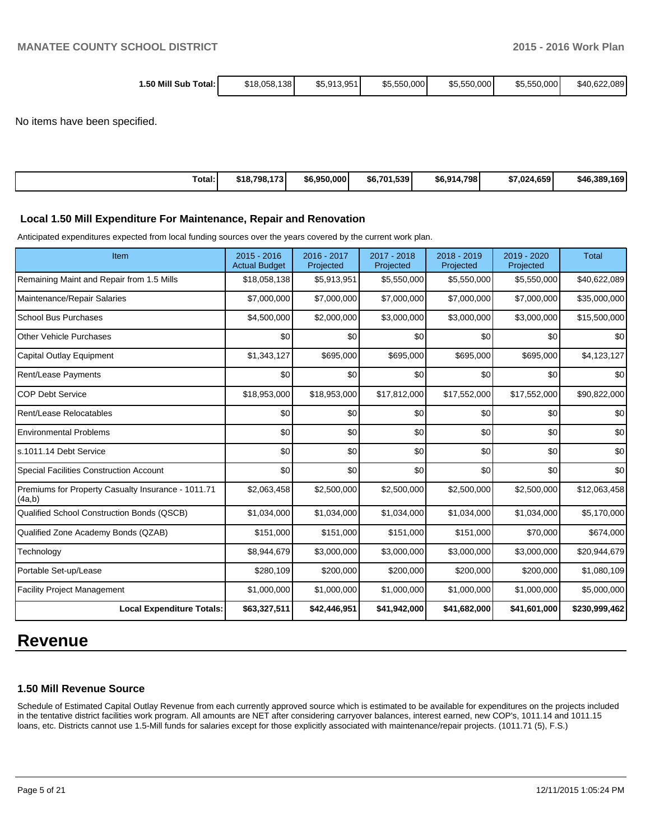| 1.50 Mill Sub Total: I | \$5,913,951 | \$5,550,000 | \$40.622.089 |
|------------------------|-------------|-------------|--------------|
| \$18.058.138           | \$5,550,000 |             | \$5,550,000  |

No items have been specified.

| Total: | \$18,798,173 | \$6,950,000 | \$6.701.539 | 4.798<br>\$6,914 | \$7.024.659 | \$46,389,169 |
|--------|--------------|-------------|-------------|------------------|-------------|--------------|
|--------|--------------|-------------|-------------|------------------|-------------|--------------|

#### **Local 1.50 Mill Expenditure For Maintenance, Repair and Renovation**

Anticipated expenditures expected from local funding sources over the years covered by the current work plan.

| Item                                                         | $2015 - 2016$<br><b>Actual Budget</b> | 2016 - 2017<br>Projected | $2017 - 2018$<br>Projected | 2018 - 2019<br>Projected | 2019 - 2020<br>Projected | <b>Total</b>  |
|--------------------------------------------------------------|---------------------------------------|--------------------------|----------------------------|--------------------------|--------------------------|---------------|
| Remaining Maint and Repair from 1.5 Mills                    | \$18,058,138                          | \$5,913,951              | \$5,550,000                | \$5,550,000              | \$5,550,000              | \$40,622,089  |
| Maintenance/Repair Salaries                                  | \$7,000,000                           | \$7,000,000              | \$7,000,000                | \$7,000,000              | \$7,000,000              | \$35,000,000  |
| <b>School Bus Purchases</b>                                  | \$4,500,000                           | \$2,000,000              | \$3,000,000                | \$3,000,000              | \$3,000,000              | \$15,500,000  |
| <b>Other Vehicle Purchases</b>                               | \$0                                   | \$0                      | \$0                        | \$0                      | \$0                      | \$0           |
| <b>Capital Outlay Equipment</b>                              | \$1,343,127                           | \$695,000                | \$695,000                  | \$695,000                | \$695,000                | \$4,123,127   |
| Rent/Lease Payments                                          | \$0                                   | \$0                      | \$0                        | \$0                      | \$0                      | \$0           |
| <b>COP Debt Service</b>                                      | \$18,953,000                          | \$18,953,000             | \$17,812,000               | \$17,552,000             | \$17,552,000             | \$90,822,000  |
| Rent/Lease Relocatables                                      | \$0                                   | \$0                      | \$0                        | \$0                      | \$0                      | \$0           |
| <b>Environmental Problems</b>                                | \$0                                   | \$0                      | \$0                        | \$0                      | \$0                      | \$0           |
| s.1011.14 Debt Service                                       | \$0                                   | \$0                      | \$0                        | \$0                      | \$0                      | \$0           |
| <b>Special Facilities Construction Account</b>               | \$0                                   | \$0                      | \$0                        | \$0                      | \$0                      | \$0           |
| Premiums for Property Casualty Insurance - 1011.71<br>(4a,b) | \$2,063,458                           | \$2,500,000              | \$2,500,000                | \$2,500,000              | \$2,500,000              | \$12,063,458  |
| Qualified School Construction Bonds (QSCB)                   | \$1,034,000                           | \$1,034,000              | \$1,034,000                | \$1,034,000              | \$1,034,000              | \$5,170,000   |
| Qualified Zone Academy Bonds (QZAB)                          | \$151,000                             | \$151,000                | \$151,000                  | \$151,000                | \$70,000                 | \$674,000     |
| Technology                                                   | \$8,944,679                           | \$3,000,000              | \$3,000,000                | \$3,000,000              | \$3,000,000              | \$20,944,679  |
| Portable Set-up/Lease                                        | \$280,109                             | \$200,000                | \$200,000                  | \$200,000                | \$200,000                | \$1,080,109   |
| <b>Facility Project Management</b>                           | \$1,000,000                           | \$1,000,000              | \$1,000,000                | \$1,000,000              | \$1,000,000              | \$5,000,000   |
| <b>Local Expenditure Totals:</b>                             | \$63,327,511                          | \$42,446,951             | \$41,942,000               | \$41,682,000             | \$41,601,000             | \$230,999,462 |

# **Revenue**

#### **1.50 Mill Revenue Source**

Schedule of Estimated Capital Outlay Revenue from each currently approved source which is estimated to be available for expenditures on the projects included in the tentative district facilities work program. All amounts are NET after considering carryover balances, interest earned, new COP's, 1011.14 and 1011.15 loans, etc. Districts cannot use 1.5-Mill funds for salaries except for those explicitly associated with maintenance/repair projects. (1011.71 (5), F.S.)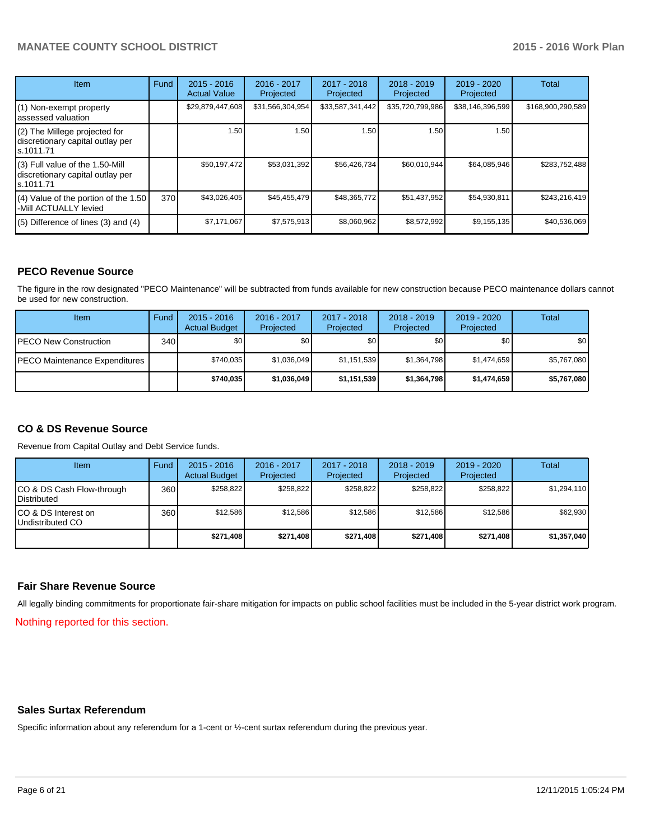# **MANATEE COUNTY SCHOOL DISTRICT 2015 - 2016 Work Plan**

| <b>Item</b>                                                                       | Fund | $2015 - 2016$<br><b>Actual Value</b> | 2016 - 2017<br>Projected | 2017 - 2018<br>Projected | $2018 - 2019$<br>Projected | 2019 - 2020<br>Projected | Total             |
|-----------------------------------------------------------------------------------|------|--------------------------------------|--------------------------|--------------------------|----------------------------|--------------------------|-------------------|
| (1) Non-exempt property<br>lassessed valuation                                    |      | \$29,879,447,608                     | \$31,566,304,954         | \$33,587,341,442         | \$35,720,799,986           | \$38,146,396,599         | \$168,900,290,589 |
| (2) The Millege projected for<br>discretionary capital outlay per<br>ls.1011.71   |      | 1.50                                 | 1.50                     | 1.50                     | 1.50                       | 1.50                     |                   |
| (3) Full value of the 1.50-Mill<br>discretionary capital outlay per<br>ls.1011.71 |      | \$50,197,472                         | \$53,031,392             | \$56,426,734             | \$60.010.944               | \$64,085,946             | \$283,752,488     |
| (4) Value of the portion of the 1.50<br>-Mill ACTUALLY levied                     | 370  | \$43,026,405                         | \$45,455,479             | \$48,365,772             | \$51,437,952               | \$54,930,811             | \$243,216,419     |
| $(5)$ Difference of lines $(3)$ and $(4)$                                         |      | \$7,171,067                          | \$7,575,913              | \$8,060,962              | \$8,572,992                | \$9,155,135              | \$40,536,069      |

## **PECO Revenue Source**

The figure in the row designated "PECO Maintenance" will be subtracted from funds available for new construction because PECO maintenance dollars cannot be used for new construction.

| Item                                 | Fund | $2015 - 2016$<br><b>Actual Budget</b> | 2016 - 2017<br>Projected | 2017 - 2018<br>Projected | $2018 - 2019$<br>Projected | $2019 - 2020$<br>Projected | Total            |
|--------------------------------------|------|---------------------------------------|--------------------------|--------------------------|----------------------------|----------------------------|------------------|
| <b>IPECO New Construction</b>        | 340  | \$0                                   | \$0                      | \$0                      | \$0 <sub>1</sub>           | \$0                        | \$0 <sub>1</sub> |
| <b>PECO Maintenance Expenditures</b> |      | \$740.035                             | \$1,036,049              | \$1,151,539              | \$1,364,798                | \$1.474.659                | \$5,767,080      |
|                                      |      | \$740.035                             | \$1.036.049              | \$1,151,539              | \$1.364.798                | \$1,474,659                | \$5,767,080      |

### **CO & DS Revenue Source**

Revenue from Capital Outlay and Debt Service funds.

| <b>Item</b>                                        | Fund | $2015 - 2016$<br><b>Actual Budget</b> | 2016 - 2017<br>Projected | 2017 - 2018<br>Projected | $2018 - 2019$<br>Projected | 2019 - 2020<br>Projected | Total       |
|----------------------------------------------------|------|---------------------------------------|--------------------------|--------------------------|----------------------------|--------------------------|-------------|
| ICO & DS Cash Flow-through<br><b>I</b> Distributed | 360  | \$258.822                             | \$258.822                | \$258.822                | \$258.822                  | \$258,822                | \$1,294,110 |
| ICO & DS Interest on<br>Undistributed CO           | 360  | \$12.586                              | \$12.586                 | \$12.586                 | \$12.586                   | \$12.586                 | \$62,930    |
|                                                    |      | \$271.408                             | \$271,408                | \$271,408                | \$271.408                  | \$271,408                | \$1,357,040 |

#### **Fair Share Revenue Source**

All legally binding commitments for proportionate fair-share mitigation for impacts on public school facilities must be included in the 5-year district work program.

Nothing reported for this section.

### **Sales Surtax Referendum**

Specific information about any referendum for a 1-cent or ½-cent surtax referendum during the previous year.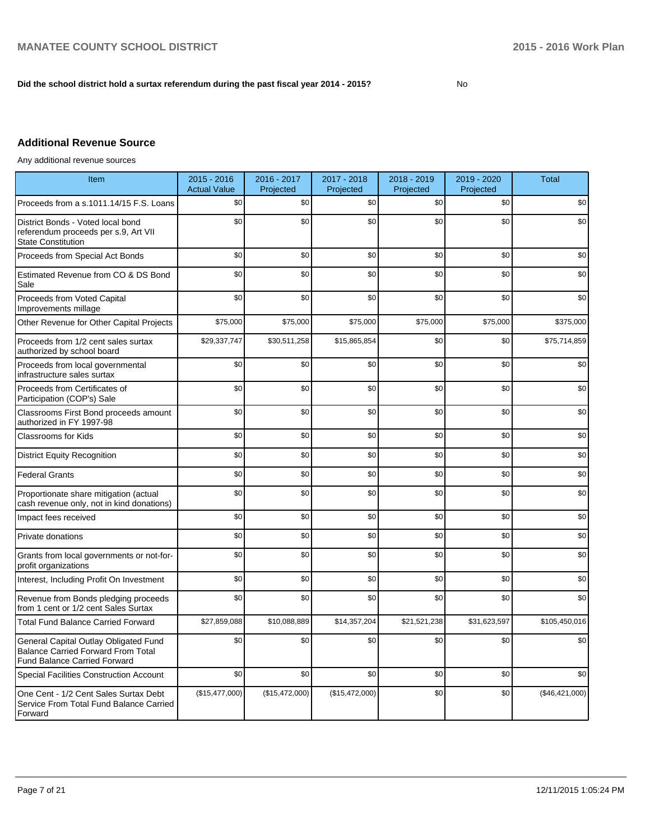## **Did the school district hold a surtax referendum during the past fiscal year 2014 - 2015?**

No

# **Additional Revenue Source**

Any additional revenue sources

| Item                                                                                                                      | 2015 - 2016<br><b>Actual Value</b> | 2016 - 2017<br>Projected | 2017 - 2018<br>Projected | 2018 - 2019<br>Projected | 2019 - 2020<br>Projected | <b>Total</b>   |
|---------------------------------------------------------------------------------------------------------------------------|------------------------------------|--------------------------|--------------------------|--------------------------|--------------------------|----------------|
| Proceeds from a s.1011.14/15 F.S. Loans                                                                                   | \$0                                | \$0                      | \$0                      | \$0                      | \$0                      | \$0            |
| District Bonds - Voted local bond<br>referendum proceeds per s.9, Art VII<br><b>State Constitution</b>                    | \$0                                | \$0                      | \$0                      | \$0                      | \$0                      | \$0            |
| Proceeds from Special Act Bonds                                                                                           | \$0                                | \$0                      | \$0                      | \$0                      | \$0                      | \$0            |
| Estimated Revenue from CO & DS Bond<br>Sale                                                                               | \$0                                | \$0                      | \$0                      | \$0                      | \$0                      | \$0            |
| Proceeds from Voted Capital<br>Improvements millage                                                                       | \$0                                | \$0                      | \$0                      | \$0                      | \$0                      | \$0            |
| Other Revenue for Other Capital Projects                                                                                  | \$75,000                           | \$75,000                 | \$75,000                 | \$75,000                 | \$75,000                 | \$375,000      |
| Proceeds from 1/2 cent sales surtax<br>authorized by school board                                                         | \$29,337,747                       | \$30,511,258             | \$15,865,854             | \$0                      | \$0                      | \$75,714,859   |
| Proceeds from local governmental<br>infrastructure sales surtax                                                           | \$0                                | \$0                      | \$0                      | \$0                      | \$0                      | \$0            |
| Proceeds from Certificates of<br>Participation (COP's) Sale                                                               | \$0                                | \$0                      | \$0                      | \$0                      | \$0                      | \$0            |
| Classrooms First Bond proceeds amount<br>authorized in FY 1997-98                                                         | \$0                                | \$0                      | \$0                      | \$0                      | \$0                      | \$0            |
| <b>Classrooms for Kids</b>                                                                                                | \$0                                | \$0                      | \$0                      | \$0                      | \$0                      | \$0            |
| <b>District Equity Recognition</b>                                                                                        | \$0                                | \$0                      | \$0                      | \$0                      | \$0                      | \$0            |
| <b>Federal Grants</b>                                                                                                     | \$0                                | \$0                      | \$0                      | \$0                      | \$0                      | \$0            |
| Proportionate share mitigation (actual<br>cash revenue only, not in kind donations)                                       | \$0                                | \$0                      | \$0                      | \$0                      | \$0                      | \$0            |
| Impact fees received                                                                                                      | \$0                                | \$0                      | \$0                      | \$0                      | \$0                      | \$0            |
| Private donations                                                                                                         | \$0                                | \$0                      | \$0                      | \$0                      | \$0                      | \$0            |
| Grants from local governments or not-for-<br>profit organizations                                                         | \$0                                | \$0                      | \$0                      | \$0                      | \$0                      | \$0            |
| Interest, Including Profit On Investment                                                                                  | \$0                                | \$0                      | \$0                      | \$0                      | \$0                      | \$0            |
| Revenue from Bonds pledging proceeds<br>from 1 cent or 1/2 cent Sales Surtax                                              | \$0                                | \$0                      | \$0                      | \$0                      | \$0                      | \$0            |
| <b>Total Fund Balance Carried Forward</b>                                                                                 | \$27,859,088                       | \$10,088,889             | \$14,357,204             | \$21,521,238             | \$31,623,597             | \$105,450,016  |
| General Capital Outlay Obligated Fund<br><b>Balance Carried Forward From Total</b><br><b>Fund Balance Carried Forward</b> | \$0                                | \$0                      | \$0                      | \$0                      | \$0                      | \$0            |
| <b>Special Facilities Construction Account</b>                                                                            | \$0                                | \$0                      | \$0                      | \$0                      | \$0                      | \$0            |
| One Cent - 1/2 Cent Sales Surtax Debt<br>Service From Total Fund Balance Carried<br>Forward                               | (\$15,477,000)                     | (\$15,472,000)           | (\$15,472,000)           | \$0                      | \$0                      | (\$46,421,000) |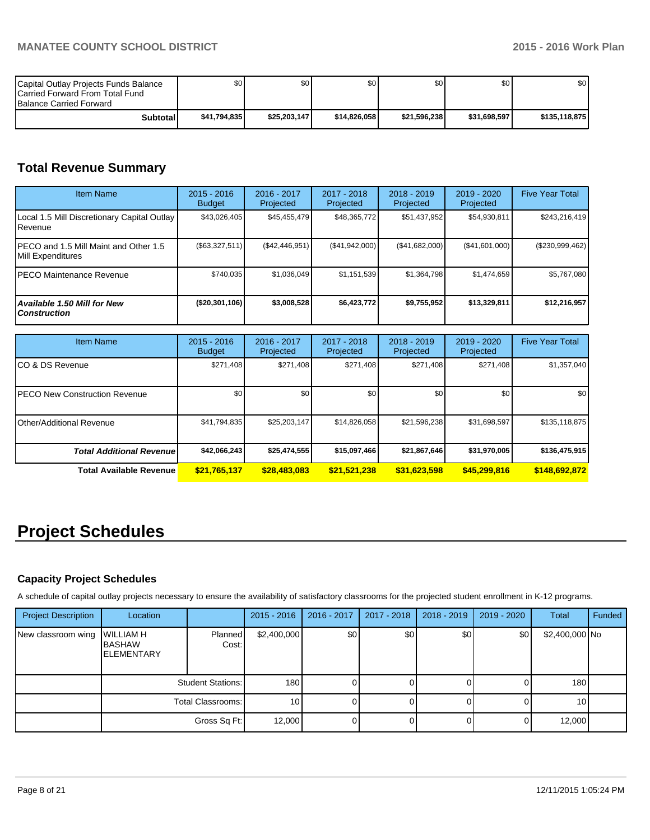| Capital Outlay Projects Funds Balance<br><b>ICarried Forward From Total Fund</b><br><b>Balance Carried Forward</b> | \$٥١          | \$0          | \$0          | \$0 I        | \$0 I        | \$0           |
|--------------------------------------------------------------------------------------------------------------------|---------------|--------------|--------------|--------------|--------------|---------------|
| Subtotal                                                                                                           | \$41.794.8351 | \$25.203.147 | \$14.826.058 | \$21,596,238 | \$31,698,597 | \$135.118.875 |

# **Total Revenue Summary**

| <b>Item Name</b>                                           | $2015 - 2016$<br><b>Budget</b> | $2016 - 2017$<br>Projected | $2017 - 2018$<br>Projected | $2018 - 2019$<br>Projected | $2019 - 2020$<br>Projected | <b>Five Year Total</b> |
|------------------------------------------------------------|--------------------------------|----------------------------|----------------------------|----------------------------|----------------------------|------------------------|
| Local 1.5 Mill Discretionary Capital Outlay<br>Revenue     | \$43,026,405                   | \$45,455,479               | \$48,365,772               | \$51,437,952               | \$54,930,811               | \$243,216,419          |
| PECO and 1.5 Mill Maint and Other 1.5<br>Mill Expenditures | (\$63,327,511)                 | (S42, 446, 951)            | (S41, 942, 000)            | (\$41,682,000)             | (\$41,601,000)             | $(\$230,999,462)$      |
| IPECO Maintenance Revenue                                  | \$740.035                      | \$1.036.049                | \$1,151,539                | \$1,364,798                | \$1,474,659                | \$5,767,080            |
| <b>Available 1.50 Mill for New</b><br><b>Construction</b>  | (\$20,301,106)                 | \$3,008,528                | \$6,423,772                | \$9,755,952                | \$13,329,811               | \$12,216,957           |

| <b>Item Name</b>                      | $2015 - 2016$<br><b>Budget</b> | 2016 - 2017<br>Projected | 2017 - 2018<br>Projected | $2018 - 2019$<br>Projected | 2019 - 2020<br>Projected | <b>Five Year Total</b> |
|---------------------------------------|--------------------------------|--------------------------|--------------------------|----------------------------|--------------------------|------------------------|
| ICO & DS Revenue                      | \$271,408                      | \$271,408                | \$271,408                | \$271,408                  | \$271,408                | \$1,357,040            |
| <b>IPECO New Construction Revenue</b> | \$0 <sub>1</sub>               | \$0                      | \$0                      | \$0                        | \$0                      | \$0 <sub>1</sub>       |
| IOther/Additional Revenue             | \$41,794,835                   | \$25,203,147             | \$14,826,058             | \$21,596,238               | \$31,698,597             | \$135,118,875          |
| <b>Total Additional Revenuel</b>      | \$42,066,243                   | \$25,474,555             | \$15,097,466             | \$21,867,646               | \$31,970,005             | \$136,475,915          |
| <b>Total Available Revenue</b>        | \$21,765,137                   | \$28,483,083             | \$21,521,238             | \$31,623,598               | \$45,299,816             | \$148,692,872          |

# **Project Schedules**

# **Capacity Project Schedules**

A schedule of capital outlay projects necessary to ensure the availability of satisfactory classrooms for the projected student enrollment in K-12 programs.

| <b>Project Description</b> | Location                                                |                          | $2015 - 2016$    | $2016 - 2017$ | 2017 - 2018 | $2018 - 2019$    | $2019 - 2020$ | Total            | Funded |
|----------------------------|---------------------------------------------------------|--------------------------|------------------|---------------|-------------|------------------|---------------|------------------|--------|
| New classroom wing         | <b>WILLIAM H</b><br><b>BASHAW</b><br><b>IELEMENTARY</b> | <b>Planned</b><br>Cost:  | \$2,400,000      | \$0           | \$0         | \$0 <sub>1</sub> | \$0           | \$2,400,000 No   |        |
|                            |                                                         | <b>Student Stations:</b> | 180 <sup>1</sup> |               |             |                  |               | 180 <sub>1</sub> |        |
|                            |                                                         | Total Classrooms:        | 10 <sup>1</sup>  |               |             |                  |               | 10 <sup>1</sup>  |        |
|                            |                                                         | Gross Sq Ft:             | 12,000           |               |             |                  |               | 12,000           |        |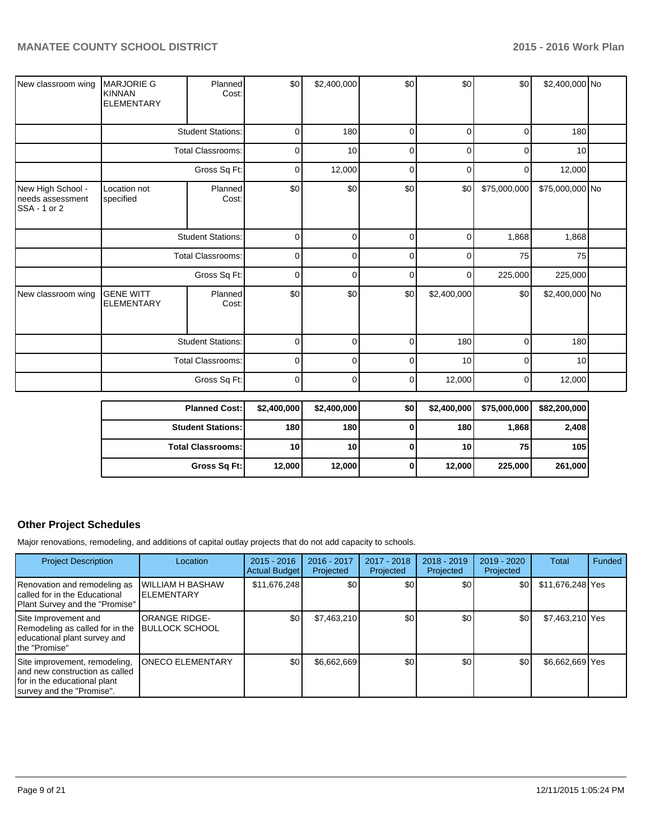| New classroom wing                                    | <b>MARJORIE G</b><br><b>KINNAN</b><br><b>ELEMENTARY</b> | Planned<br>Cost:         | \$0         | \$2,400,000 | \$0          | \$0         | \$0          | \$2,400,000 No  |  |
|-------------------------------------------------------|---------------------------------------------------------|--------------------------|-------------|-------------|--------------|-------------|--------------|-----------------|--|
|                                                       |                                                         | <b>Student Stations:</b> | $\Omega$    | 180         | $\Omega$     | 0           | $\Omega$     | 180             |  |
|                                                       |                                                         | <b>Total Classrooms:</b> | $\mathbf 0$ | 10          | $\mathbf{0}$ | O           | $\Omega$     | 10              |  |
|                                                       |                                                         | Gross Sq Ft:             | 0           | 12,000      | $\Omega$     | 0           | 0            | 12,000          |  |
| New High School -<br>needs assessment<br>SSA - 1 or 2 | Location not<br>specified                               | Planned<br>Cost:         | \$0         | \$0         | \$0          | \$0         | \$75,000,000 | \$75,000,000 No |  |
|                                                       | <b>Student Stations:</b>                                |                          | $\mathbf 0$ | 0           | 0            | 0           | 1,868        | 1,868           |  |
|                                                       |                                                         | <b>Total Classrooms:</b> | $\mathbf 0$ | 0           | 0            | 0           | 75           | 75              |  |
|                                                       |                                                         | Gross Sq Ft:             | $\Omega$    | $\Omega$    | $\Omega$     | 0           | 225,000      | 225,000         |  |
| New classroom wing                                    | <b>GENE WITT</b><br><b>ELEMENTARY</b>                   | Planned<br>Cost:         | \$0         | \$0         | \$0          | \$2,400,000 | \$0          | \$2,400,000 No  |  |
|                                                       | <b>Student Stations:</b>                                |                          | $\mathbf 0$ | $\Omega$    | 0            | 180         | $\Omega$     | 180             |  |
|                                                       |                                                         | Total Classrooms:        | $\Omega$    | $\Omega$    | $\Omega$     | 10          | $\Omega$     | 10              |  |
|                                                       |                                                         | Gross Sq Ft:             | $\mathbf 0$ | 0           | $\mathbf 0$  | 12,000      | 0            | 12,000          |  |

| <b>Planned Cost:</b>     | \$2,400,000     | \$2,400,000     | \$0 | \$2,400,000     | \$75,000,000 | \$82,200,000 |
|--------------------------|-----------------|-----------------|-----|-----------------|--------------|--------------|
| <b>Student Stations:</b> | 180             | <b>180</b>      |     | 180             | 1,868        | 2,408        |
| <b>Total Classrooms:</b> | 10 <sub>1</sub> | 10 <sup>1</sup> |     | 10 <sub>1</sub> | 75           | 105          |
| Gross Sq Ft:             | 12,000          | 12,000          | 0   | 12,000          | 225,000      | 261,000      |

# **Other Project Schedules**

Major renovations, remodeling, and additions of capital outlay projects that do not add capacity to schools.

| <b>Project Description</b>                                                                                                     | Location                                      | $2015 - 2016$<br><b>Actual Budget</b> | 2016 - 2017<br>Projected | 2017 - 2018<br>Projected | $2018 - 2019$<br>Projected | 2019 - 2020<br>Projected | Total            | Funded |
|--------------------------------------------------------------------------------------------------------------------------------|-----------------------------------------------|---------------------------------------|--------------------------|--------------------------|----------------------------|--------------------------|------------------|--------|
| Renovation and remodeling as<br>Icalled for in the Educational<br>Plant Survey and the "Promise"                               | WILLIAM H BASHAW<br><b>ELEMENTARY</b>         | \$11,676,248                          | \$0                      | \$0                      | \$0                        | \$0                      | \$11,676,248 Yes |        |
| Site Improvement and<br>Remodeling as called for in the<br>educational plant survey and<br>Ithe "Promise"                      | <b>ORANGE RIDGE-</b><br><b>BULLOCK SCHOOL</b> | \$0                                   | \$7,463,210              | \$0                      | \$0                        | \$0                      | \$7,463,210 Yes  |        |
| Site improvement, remodeling,<br>and new construction as called<br>for in the educational plant<br>I survey and the "Promise". | <b>ONECO ELEMENTARY</b>                       | \$0                                   | \$6,662,669              | \$0                      | \$0                        | \$0                      | \$6,662,669 Yes  |        |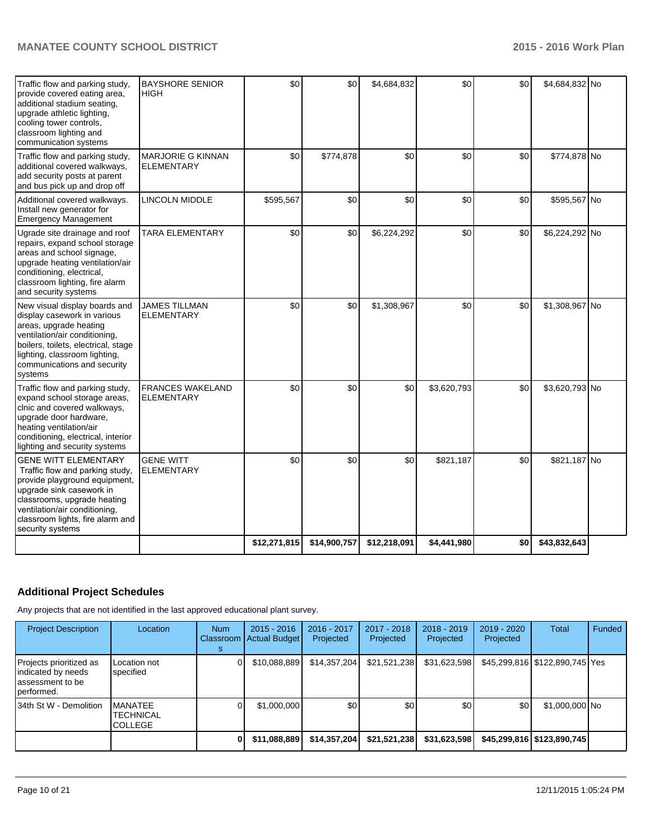| Traffic flow and parking study,<br>provide covered eating area,<br>additional stadium seating,<br>upgrade athletic lighting,<br>cooling tower controls,<br>classroom lighting and<br>communication systems                                          | <b>BAYSHORE SENIOR</b><br><b>HIGH</b>         | \$0          | 30           | \$4,684,832  | \$0         | \$0 | \$4,684,832 No |  |
|-----------------------------------------------------------------------------------------------------------------------------------------------------------------------------------------------------------------------------------------------------|-----------------------------------------------|--------------|--------------|--------------|-------------|-----|----------------|--|
| Traffic flow and parking study,<br>additional covered walkways,<br>add security posts at parent<br>and bus pick up and drop off                                                                                                                     | <b>MARJORIE G KINNAN</b><br><b>ELEMENTARY</b> | \$0          | \$774,878    | \$0          | \$0         | \$0 | \$774,878 No   |  |
| Additional covered walkways.<br>Install new generator for<br><b>Emergency Management</b>                                                                                                                                                            | <b>LINCOLN MIDDLE</b>                         | \$595,567    | \$0          | \$0          | \$0         | \$0 | \$595,567 No   |  |
| Ugrade site drainage and roof<br>repairs, expand school storage<br>areas and school signage,<br>upgrade heating ventilation/air<br>conditioning, electrical,<br>classroom lighting, fire alarm<br>and security systems                              | <b>TARA ELEMENTARY</b>                        | \$0          | \$0          | \$6,224,292  | \$0         | \$0 | \$6,224,292 No |  |
| New visual display boards and<br>display casework in various<br>areas, upgrade heating<br>ventilation/air conditioning,<br>boilers, toilets, electrical, stage<br>lighting, classroom lighting,<br>communications and security<br>systems           | JAMES TILLMAN<br><b>ELEMENTARY</b>            | \$0          | \$0          | \$1,308,967  | \$0         | \$0 | \$1,308,967 No |  |
| Traffic flow and parking study,<br>expand school storage areas,<br>clnic and covered walkways,<br>upgrade door hardware,<br>heating ventilation/air<br>conditioning, electrical, interior<br>lighting and security systems                          | <b>FRANCES WAKELAND</b><br><b>ELEMENTARY</b>  | \$0          | \$0          | \$0          | \$3,620,793 | \$0 | \$3,620,793 No |  |
| <b>GENE WITT ELEMENTARY</b><br>Traffic flow and parking study,<br>provide playground equipment,<br>upgrade sink casework in<br>classrooms, upgrade heating<br>ventilation/air conditioning,<br>classroom lights, fire alarm and<br>security systems | <b>GENE WITT</b><br><b>ELEMENTARY</b>         | \$0          | \$0          | \$0          | \$821,187   | \$0 | \$821,187 No   |  |
|                                                                                                                                                                                                                                                     |                                               | \$12,271,815 | \$14,900,757 | \$12,218,091 | \$4,441,980 | \$0 | \$43,832,643   |  |

# **Additional Project Schedules**

Any projects that are not identified in the last approved educational plant survey.

| <b>Project Description</b>                                                      | Location                                             | <b>Num</b><br>Classroom | $2015 - 2016$<br>Actual Budget | 2016 - 2017<br>Projected | 2017 - 2018<br>Projected | $2018 - 2019$<br>Projected | $2019 - 2020$<br>Projected | Total                          | Funded |
|---------------------------------------------------------------------------------|------------------------------------------------------|-------------------------|--------------------------------|--------------------------|--------------------------|----------------------------|----------------------------|--------------------------------|--------|
| Projects prioritized as<br>indicated by needs<br>assessment to be<br>performed. | Location not<br>specified                            |                         | \$10,088,889                   | \$14,357,204             | \$21,521,238             | \$31,623,598               |                            | \$45,299,816 \$122,890,745 Yes |        |
| 34th St W - Demolition                                                          | <b>MANATEE</b><br><b>TECHNICAL</b><br><b>COLLEGE</b> |                         | \$1,000,000                    | \$0                      | \$0 <sub>1</sub>         | \$0 <sub>1</sub>           | \$0                        | \$1,000,000 No                 |        |
|                                                                                 |                                                      |                         | \$11,088,889                   | \$14,357,204             | \$21,521,238             | \$31,623,598               |                            | \$45,299,816   \$123,890,745   |        |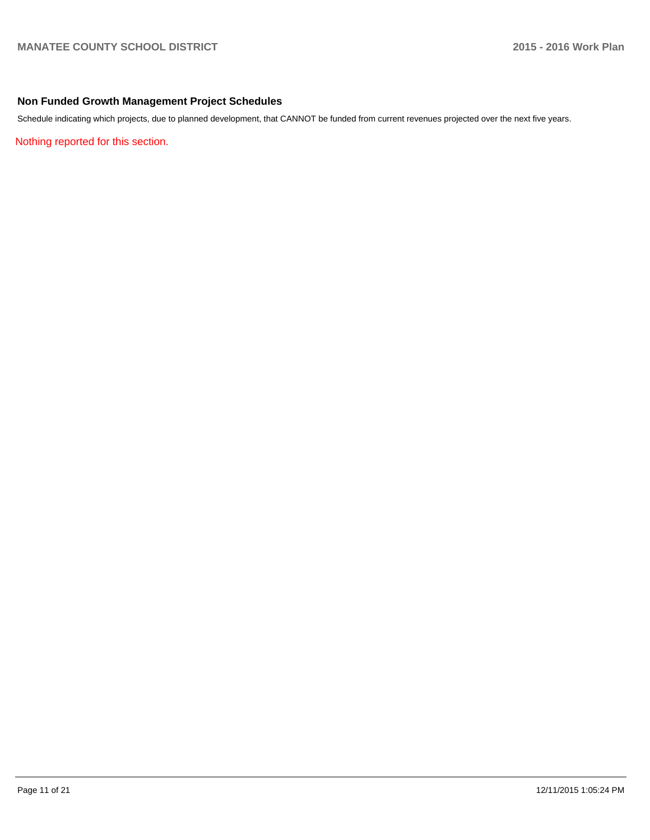# **Non Funded Growth Management Project Schedules**

Schedule indicating which projects, due to planned development, that CANNOT be funded from current revenues projected over the next five years.

Nothing reported for this section.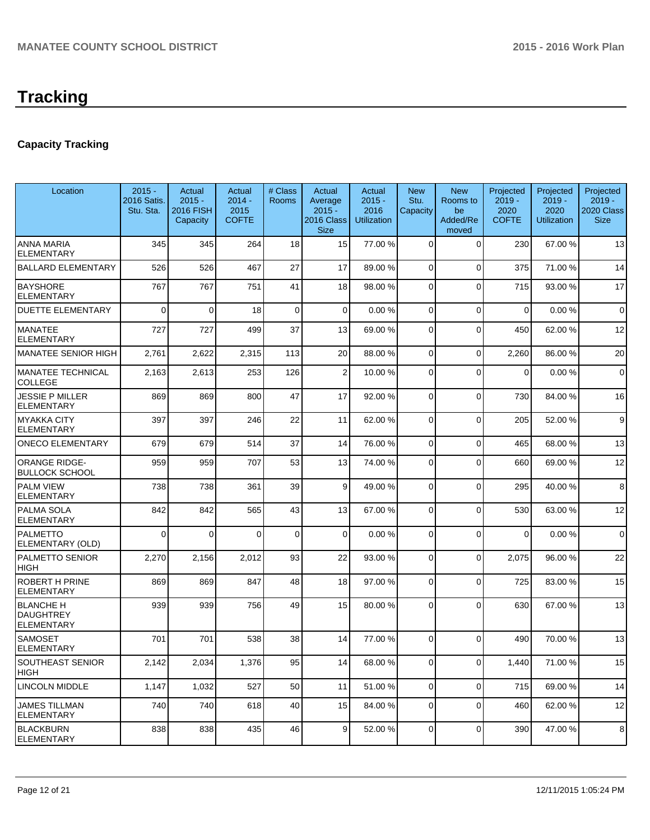# **Capacity Tracking**

| Location                                                  | $2015 -$<br>2016 Satis.<br>Stu. Sta. | Actual<br>$2015 -$<br>2016 FISH<br>Capacity | Actual<br>$2014 -$<br>2015<br><b>COFTE</b> | # Class<br>Rooms | Actual<br>Average<br>$2015 -$<br>2016 Class<br><b>Size</b> | Actual<br>$2015 -$<br>2016<br><b>Utilization</b> | <b>New</b><br>Stu.<br>Capacity | <b>New</b><br>Rooms to<br>be<br>Added/Re<br>moved | Projected<br>$2019 -$<br>2020<br><b>COFTE</b> | Projected<br>$2019 -$<br>2020<br><b>Utilization</b> | Projected<br>$2019 -$<br>2020 Class<br><b>Size</b> |
|-----------------------------------------------------------|--------------------------------------|---------------------------------------------|--------------------------------------------|------------------|------------------------------------------------------------|--------------------------------------------------|--------------------------------|---------------------------------------------------|-----------------------------------------------|-----------------------------------------------------|----------------------------------------------------|
| <b>ANNA MARIA</b><br><b>ELEMENTARY</b>                    | 345                                  | 345                                         | 264                                        | 18               | 15                                                         | 77.00 %                                          | 0                              | $\Omega$                                          | 230                                           | 67.00 %                                             | 13                                                 |
| <b>BALLARD ELEMENTARY</b>                                 | 526                                  | 526                                         | 467                                        | 27               | 17                                                         | 89.00 %                                          | $\overline{0}$                 | $\Omega$                                          | 375                                           | 71.00%                                              | 14                                                 |
| <b>BAYSHORE</b><br><b>ELEMENTARY</b>                      | 767                                  | 767                                         | 751                                        | 41               | 18                                                         | 98.00 %                                          | 0                              | $\Omega$                                          | 715                                           | 93.00 %                                             | 17                                                 |
| <b>DUETTE ELEMENTARY</b>                                  | $\Omega$                             | $\Omega$                                    | 18                                         | $\Omega$         | $\Omega$                                                   | 0.00%                                            | 0                              | $\Omega$                                          | $\Omega$                                      | 0.00%                                               | $\mathbf 0$                                        |
| <b>MANATEE</b><br><b>ELEMENTARY</b>                       | 727                                  | 727                                         | 499                                        | 37               | 13                                                         | 69.00 %                                          | 0                              | $\Omega$                                          | 450                                           | 62.00%                                              | 12                                                 |
| MANATEE SENIOR HIGH                                       | 2,761                                | 2,622                                       | 2,315                                      | 113              | 20                                                         | 88.00 %                                          | 0                              | $\Omega$                                          | 2,260                                         | 86.00 %                                             | 20                                                 |
| <b>MANATEE TECHNICAL</b><br>COLLEGE                       | 2,163                                | 2,613                                       | 253                                        | 126              | $\overline{2}$                                             | 10.00 %                                          | 0                              | $\Omega$                                          | 0                                             | 0.00%                                               | $\mathbf 0$                                        |
| <b>JESSIE P MILLER</b><br>ELEMENTARY                      | 869                                  | 869                                         | 800                                        | 47               | 17                                                         | 92.00 %                                          | 0                              | $\Omega$                                          | 730                                           | 84.00%                                              | 16                                                 |
| <b>MYAKKA CITY</b><br>ELEMENTARY                          | 397                                  | 397                                         | 246                                        | 22               | 11                                                         | 62.00 %                                          | 0                              | $\Omega$                                          | 205                                           | 52.00 %                                             | 9                                                  |
| <b>ONECO ELEMENTARY</b>                                   | 679                                  | 679                                         | 514                                        | 37               | 14                                                         | 76.00 %                                          | 0                              | $\Omega$                                          | 465                                           | 68.00 %                                             | 13                                                 |
| <b>ORANGE RIDGE-</b><br><b>BULLOCK SCHOOL</b>             | 959                                  | 959                                         | 707                                        | 53               | 13                                                         | 74.00 %                                          | 0                              | $\Omega$                                          | 660                                           | 69.00%                                              | 12                                                 |
| <b>PALM VIEW</b><br>ELEMENTARY                            | 738                                  | 738                                         | 361                                        | 39               | $\vert 9 \vert$                                            | 49.00 %                                          | 0                              | $\Omega$                                          | 295                                           | 40.00 %                                             | 8                                                  |
| PALMA SOLA<br><b>ELEMENTARY</b>                           | 842                                  | 842                                         | 565                                        | 43               | 13                                                         | 67.00 %                                          | 0                              | $\Omega$                                          | 530                                           | 63.00 %                                             | 12                                                 |
| <b>PALMETTO</b><br>ELEMENTARY (OLD)                       | $\Omega$                             | $\Omega$                                    | $\Omega$                                   | $\mathbf 0$      | $\Omega$                                                   | 0.00%                                            | 0                              | $\Omega$                                          | $\Omega$                                      | 0.00%                                               | $\mathbf 0$                                        |
| PALMETTO SENIOR<br>HIGH                                   | 2,270                                | 2,156                                       | 2,012                                      | 93               | 22                                                         | 93.00 %                                          | 0                              | $\Omega$                                          | 2,075                                         | 96.00 %                                             | 22                                                 |
| ROBERT H PRINE<br><b>ELEMENTARY</b>                       | 869                                  | 869                                         | 847                                        | 48               | 18                                                         | 97.00 %                                          | 0                              | $\Omega$                                          | 725                                           | 83.00 %                                             | 15                                                 |
| <b>BLANCHE H</b><br><b>DAUGHTREY</b><br><b>ELEMENTARY</b> | 939                                  | 939                                         | 756                                        | 49               | 15                                                         | 80.00 %                                          | $\Omega$                       | $\Omega$                                          | 630                                           | 67.00%                                              | 13                                                 |
| <b>SAMOSET</b><br><b>ELEMENTARY</b>                       | 701                                  | 701                                         | 538                                        | 38               | 14                                                         | 77.00 %                                          | $\Omega$                       | $\Omega$                                          | 490                                           | 70.00%                                              | 13                                                 |
| SOUTHEAST SENIOR<br>HIGH                                  | 2,142                                | 2,034                                       | 1,376                                      | 95               | 14                                                         | 68.00 %                                          | $\overline{0}$                 | $\overline{0}$                                    | 1,440                                         | 71.00 %                                             | 15                                                 |
| <b>LINCOLN MIDDLE</b>                                     | 1,147                                | 1,032                                       | 527                                        | 50               | 11                                                         | 51.00 %                                          | $\overline{0}$                 | $\overline{0}$                                    | 715                                           | 69.00%                                              | 14                                                 |
| <b>JAMES TILLMAN</b><br><b>ELEMENTARY</b>                 | 740                                  | 740                                         | 618                                        | 40               | 15                                                         | 84.00 %                                          | 0                              | $\Omega$                                          | 460                                           | 62.00%                                              | 12                                                 |
| <b>BLACKBURN</b><br><b>ELEMENTARY</b>                     | 838                                  | 838                                         | 435                                        | 46               | $\overline{9}$                                             | 52.00 %                                          | 0                              | $\mathbf 0$                                       | 390                                           | 47.00%                                              | 8                                                  |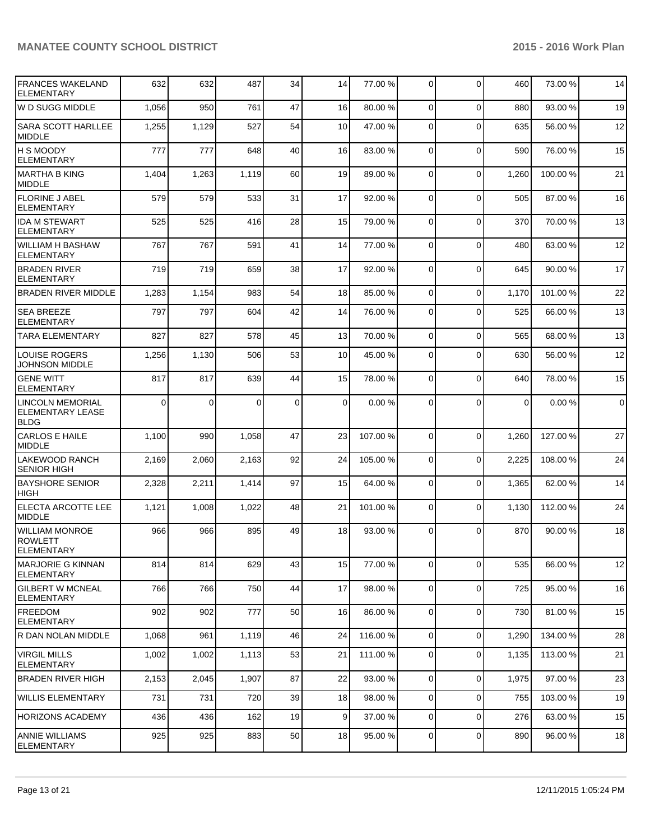# **MANATEE COUNTY SCHOOL DISTRICT 2015 - 2016 Work Plan**

| <b>FRANCES WAKELAND</b><br><b>ELEMENTARY</b>               | 632      | 632      | 487      | 34          | 14              | 77.00 %  | $\overline{0}$ | $\Omega$     | 460      | 73.00 %  | 14          |
|------------------------------------------------------------|----------|----------|----------|-------------|-----------------|----------|----------------|--------------|----------|----------|-------------|
| W D SUGG MIDDLE                                            | 1,056    | 950      | 761      | 47          | 16              | 80.00 %  | $\Omega$       | $\mathbf{0}$ | 880      | 93.00 %  | 19          |
| SARA SCOTT HARLLEE<br><b>MIDDLE</b>                        | 1,255    | 1,129    | 527      | 54          | 10 <sup>1</sup> | 47.00 %  | $\Omega$       | $\Omega$     | 635      | 56.00 %  | 12          |
| <b>H S MOODY</b><br><b>ELEMENTARY</b>                      | 777      | 777      | 648      | 40          | 16              | 83.00 %  | $\Omega$       | $\Omega$     | 590      | 76.00 %  | 15          |
| MARTHA B KING<br><b>MIDDLE</b>                             | 1,404    | 1,263    | 1,119    | 60          | 19              | 89.00 %  | $\Omega$       | $\mathbf{0}$ | 1,260    | 100.00%  | 21          |
| <b>FLORINE J ABEL</b><br><b>ELEMENTARY</b>                 | 579      | 579      | 533      | 31          | 17              | 92.00 %  | $\Omega$       | $\mathbf{0}$ | 505      | 87.00 %  | 16          |
| <b>IDA M STEWART</b><br><b>ELEMENTARY</b>                  | 525      | 525      | 416      | 28          | 15              | 79.00 %  | $\Omega$       | $\mathbf{0}$ | 370      | 70.00%   | 13          |
| WILLIAM H BASHAW<br>ELEMENTARY                             | 767      | 767      | 591      | 41          | 14              | 77.00 %  | $\Omega$       | $\mathbf{0}$ | 480      | 63.00 %  | 12          |
| <b>BRADEN RIVER</b><br><b>ELEMENTARY</b>                   | 719      | 719      | 659      | 38          | 17              | 92.00 %  | $\Omega$       | $\mathbf{0}$ | 645      | 90.00%   | 17          |
| <b>BRADEN RIVER MIDDLE</b>                                 | 1,283    | 1,154    | 983      | 54          | 18              | 85.00 %  | $\Omega$       | $\Omega$     | 1,170    | 101.00%  | 22          |
| <b>SEA BREEZE</b><br><b>ELEMENTARY</b>                     | 797      | 797      | 604      | 42          | 14              | 76.00 %  | $\Omega$       | $\Omega$     | 525      | 66.00%   | 13          |
| <b>TARA ELEMENTARY</b>                                     | 827      | 827      | 578      | 45          | 13              | 70.00 %  | $\Omega$       | $\Omega$     | 565      | 68.00%   | 13          |
| <b>LOUISE ROGERS</b><br>JOHNSON MIDDLE                     | 1,256    | 1,130    | 506      | 53          | 10 <sup>1</sup> | 45.00 %  | $\Omega$       | $\Omega$     | 630      | 56.00 %  | 12          |
| <b>GENE WITT</b><br><b>ELEMENTARY</b>                      | 817      | 817      | 639      | 44          | 15              | 78.00 %  | $\Omega$       | $\mathbf{0}$ | 640      | 78.00 %  | 15          |
| <b>LINCOLN MEMORIAL</b><br>ELEMENTARY LEASE<br><b>BLDG</b> | $\Omega$ | $\Omega$ | $\Omega$ | $\mathbf 0$ | $\Omega$        | 0.00%    | $\Omega$       | $\Omega$     | $\Omega$ | 0.00%    | $\mathbf 0$ |
| CARLOS E HAILE<br><b>MIDDLE</b>                            | 1,100    | 990      | 1,058    | 47          | 23              | 107.00 % | $\Omega$       | $\Omega$     | 1,260    | 127.00 % | 27          |
| <b>LAKEWOOD RANCH</b><br><b>SENIOR HIGH</b>                | 2,169    | 2,060    | 2,163    | 92          | 24              | 105.00 % | $\Omega$       | $\mathbf{0}$ | 2,225    | 108.00%  | 24          |
| <b>BAYSHORE SENIOR</b><br><b>HIGH</b>                      | 2,328    | 2,211    | 1,414    | 97          | 15              | 64.00 %  | $\Omega$       | $\Omega$     | 1,365    | 62.00%   | 14          |
| <b>ELECTA ARCOTTE LEE</b><br><b>IMIDDLE</b>                | 1,121    | 1,008    | 1,022    | 48          | 21              | 101.00 % | $\Omega$       | $\Omega$     | 1,130    | 112.00%  | 24          |
| <b>WILLIAM MONROE</b><br>ROWLETT<br>ELEMENTARY             | 966      | 966      | 895      | 49          | 18              | 93.00 %  | $\Omega$       | $\Omega$     | 870      | 90.00 %  | 18          |
| MARJORIE G KINNAN<br> ELEMENTARY                           | 814      | 814      | 629      | 43          | 15              | 77.00 %  | $\Omega$       | $\mathbf{0}$ | 535      | 66.00 %  | 12          |
| <b>GILBERT W MCNEAL</b><br><b>ELEMENTARY</b>               | 766      | 766      | 750      | 44          | 17              | 98.00 %  | $\overline{0}$ | 0            | 725      | 95.00 %  | 16          |
| <b>IFREEDOM</b><br><b>ELEMENTARY</b>                       | 902      | 902      | 777      | 50          | 16              | 86.00 %  | $\overline{0}$ | 0            | 730      | 81.00%   | 15          |
| R DAN NOLAN MIDDLE                                         | 1,068    | 961      | 1,119    | 46          | 24              | 116.00 % | $\overline{0}$ | 0            | 1,290    | 134.00 % | 28          |
| <b>VIRGIL MILLS</b><br><b>ELEMENTARY</b>                   | 1,002    | 1,002    | 1,113    | 53          | 21              | 111.00 % | $\overline{0}$ | 0            | 1,135    | 113.00 % | 21          |
| <b>BRADEN RIVER HIGH</b>                                   | 2,153    | 2,045    | 1,907    | 87          | 22              | 93.00 %  | $\overline{0}$ | $\mathbf 0$  | 1,975    | 97.00 %  | 23          |
| WILLIS ELEMENTARY                                          | 731      | 731      | 720      | 39          | 18              | 98.00 %  | $\overline{0}$ | 0            | 755      | 103.00%  | 19          |
| <b>HORIZONS ACADEMY</b>                                    | 436      | 436      | 162      | 19          | 9 <sup>1</sup>  | 37.00 %  | $\overline{0}$ | 0            | 276      | 63.00 %  | 15          |
| <b>ANNIE WILLIAMS</b><br><b>ELEMENTARY</b>                 | 925      | 925      | 883      | 50          | 18              | 95.00 %  | $\overline{0}$ | 0            | 890      | 96.00 %  | 18          |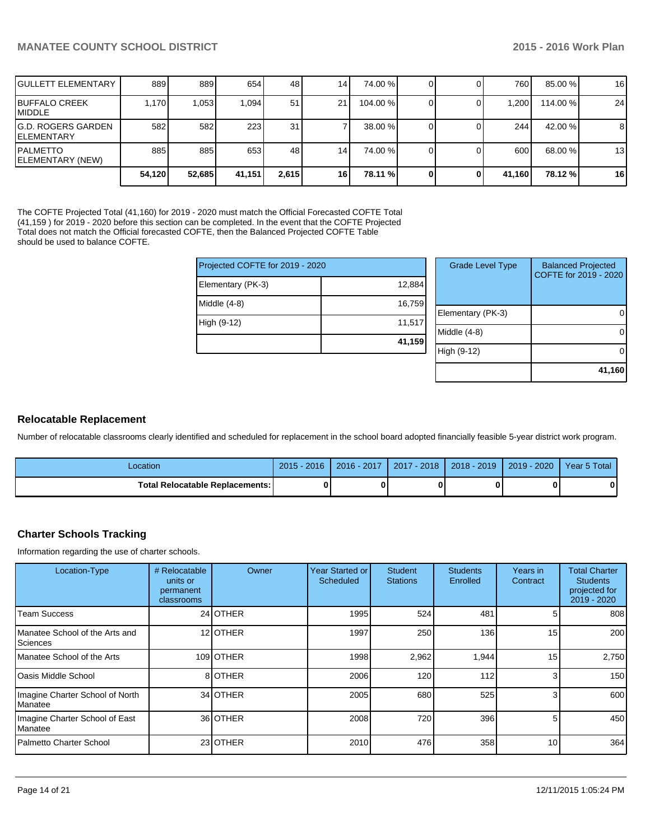| <b>IGULLETT ELEMENTARY</b>                | 889    | 889    | 654    | 48              | 141             | 74.00 %  |  | 760 I    | 85.00 %  | 16 |
|-------------------------------------------|--------|--------|--------|-----------------|-----------------|----------|--|----------|----------|----|
| <b>IBUFFALO CREEK</b><br><b>IMIDDLE</b>   | 1.170  | 1,053  | 1.094  | 51              | 211             | 104.00 % |  | ا 200. ا | 114.00 % | 24 |
| <b>IG.D. ROGERS GARDEN</b><br>IELEMENTARY | 582    | 582    | 223    | 31 <sub>1</sub> |                 | 38.00 %  |  | 244      | 42.00 %  | 8  |
| <b>IPALMETTO</b><br>ELEMENTARY (NEW)      | 885    | 885    | 653    | 48              | 14 <sub>1</sub> | 74.00 %  |  | 600      | 68.00 %  | 13 |
|                                           | 54.120 | 52,685 | 41,151 | 2,615           | 16              | 78.11 %  |  | 41,160   | 78.12 %  | 16 |

The COFTE Projected Total (41,160) for 2019 - 2020 must match the Official Forecasted COFTE Total (41,159 ) for 2019 - 2020 before this section can be completed. In the event that the COFTE Projected Total does not match the Official forecasted COFTE, then the Balanced Projected COFTE Table should be used to balance COFTE.

| Projected COFTE for 2019 - 2020 | Grade  |             |
|---------------------------------|--------|-------------|
| Elementary (PK-3)               | 12,884 |             |
| Middle $(4-8)$                  | 16,759 | Elementar   |
| High (9-12)                     | 11,517 |             |
|                                 | 41,159 | Middle (4-8 |
|                                 |        | High (9-12  |

| <b>Grade Level Type</b> | <b>Balanced Projected</b><br>COFTE for 2019 - 2020 |
|-------------------------|----------------------------------------------------|
| Elementary (PK-3)       |                                                    |
| Middle (4-8)            |                                                    |
| High (9-12)             |                                                    |
|                         | 41,160                                             |

## **Relocatable Replacement**

Number of relocatable classrooms clearly identified and scheduled for replacement in the school board adopted financially feasible 5-year district work program.

| Location                          | $2015 - 2016$ | 2016 - 2017 | 2017 - 2018 | 2018 - 2019 | 2019 - 2020 | Year 5 Total |
|-----------------------------------|---------------|-------------|-------------|-------------|-------------|--------------|
| Total Relocatable Replacements: I |               |             |             |             |             |              |

# **Charter Schools Tracking**

Information regarding the use of charter schools.

| Location-Type                                       | # Relocatable<br>units or<br>permanent<br>classrooms | Owner           | Year Started or<br>Scheduled | <b>Student</b><br><b>Stations</b> | <b>Students</b><br>Enrolled | Years in<br>Contract | <b>Total Charter</b><br><b>Students</b><br>projected for<br>2019 - 2020 |
|-----------------------------------------------------|------------------------------------------------------|-----------------|------------------------------|-----------------------------------|-----------------------------|----------------------|-------------------------------------------------------------------------|
| <b>Team Success</b>                                 |                                                      | 24 OTHER        | 1995                         | 524                               | 481                         | 5                    | 808                                                                     |
| Manatee School of the Arts and<br>Sciences          |                                                      | 12 <b>OTHER</b> | 1997                         | 250                               | 136                         | 15                   | 200                                                                     |
| Manatee School of the Arts                          |                                                      | 109 OTHER       | 1998                         | 2,962                             | 1,944                       | 15                   | 2,750                                                                   |
| <b>IOasis Middle School</b>                         |                                                      | 8 OTHER         | 2006                         | 120                               | 112                         | 3                    | 150                                                                     |
| Imagine Charter School of North<br><b>I</b> Manatee |                                                      | 34 OTHER        | 2005                         | 680                               | 525                         | 3                    | 600                                                                     |
| Imagine Charter School of East<br><b>Manatee</b>    |                                                      | 36 OTHER        | 2008                         | 720                               | 396                         |                      | 450                                                                     |
| Palmetto Charter School                             |                                                      | 23 OTHER        | 2010                         | 476                               | 358                         | 10 <sup>1</sup>      | 364                                                                     |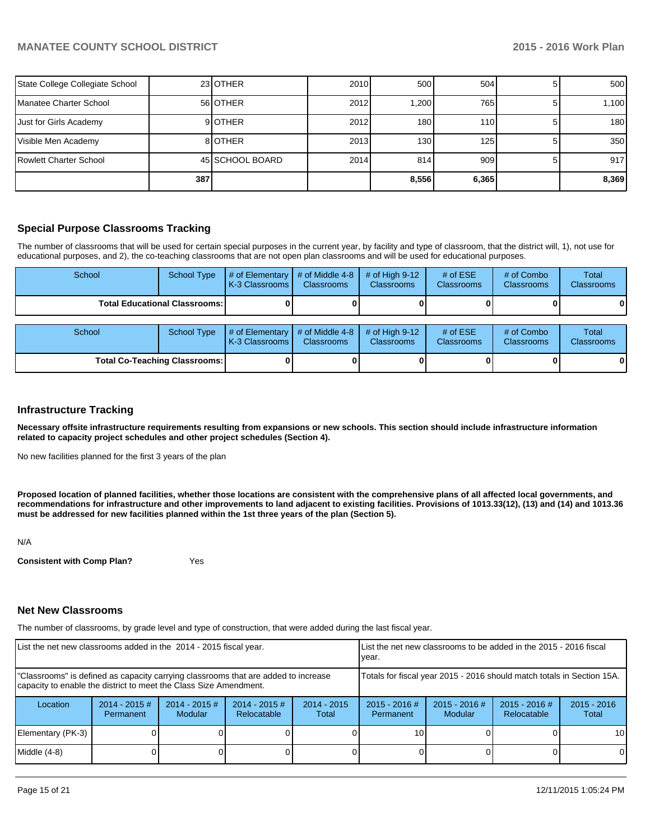| State College Collegiate School |     | 23 OTHER        | 2010 | 500    | 504   | 500              |
|---------------------------------|-----|-----------------|------|--------|-------|------------------|
| Manatee Charter School          |     | 56 OTHER        | 2012 | 200. ا | 765   | 1,100            |
| Just for Girls Academy          |     | 9 <b>IOTHER</b> | 2012 | 180    | 110   | 180 <sup>1</sup> |
| Visible Men Academy             |     | 8 OTHER         | 2013 | 130    | 125   | 350              |
| Rowlett Charter School          |     | 45 SCHOOL BOARD | 2014 | 814    | 909   | 917              |
|                                 | 387 |                 |      | 8,556  | 6,365 | 8,369            |

### **Special Purpose Classrooms Tracking**

The number of classrooms that will be used for certain special purposes in the current year, by facility and type of classroom, that the district will, 1), not use for educational purposes, and 2), the co-teaching classrooms that are not open plan classrooms and will be used for educational purposes.

| School | School Type                            | $#$ of Elementary<br>K-3 Classrooms       | $#$ of Middle 4-8<br><b>Classrooms</b> | $#$ of High 9-12<br><b>Classrooms</b> | # of $ESE$<br>Classrooms | # of Combo<br><b>Classrooms</b> | Total<br><b>Classrooms</b> |
|--------|----------------------------------------|-------------------------------------------|----------------------------------------|---------------------------------------|--------------------------|---------------------------------|----------------------------|
|        | <b>Total Educational Classrooms: I</b> |                                           |                                        |                                       |                          |                                 | 01                         |
| School | School Type                            | # of Elementary $\vert$<br>K-3 Classrooms | # of Middle 4-8<br><b>Classrooms</b>   | # of High $9-12$<br><b>Classrooms</b> | # of $ESE$<br>Classrooms | # of Combo<br><b>Classrooms</b> | Total<br><b>Classrooms</b> |
|        | <b>Total Co-Teaching Classrooms:</b>   |                                           |                                        |                                       |                          | 0                               | 01                         |

#### **Infrastructure Tracking**

**Necessary offsite infrastructure requirements resulting from expansions or new schools. This section should include infrastructure information related to capacity project schedules and other project schedules (Section 4).**

No new facilities planned for the first 3 years of the plan

**Proposed location of planned facilities, whether those locations are consistent with the comprehensive plans of all affected local governments, and recommendations for infrastructure and other improvements to land adjacent to existing facilities. Provisions of 1013.33(12), (13) and (14) and 1013.36 must be addressed for new facilities planned within the 1st three years of the plan (Section 5).**

N/A

**Consistent with Comp Plan?** Yes

#### **Net New Classrooms**

The number of classrooms, by grade level and type of construction, that were added during the last fiscal year.

| List the net new classrooms added in the 2014 - 2015 fiscal year.                                                                                       |                               |                                   |                                |                        | List the net new classrooms to be added in the 2015 - 2016 fiscal<br>Ivear. |                            |                                |                        |
|---------------------------------------------------------------------------------------------------------------------------------------------------------|-------------------------------|-----------------------------------|--------------------------------|------------------------|-----------------------------------------------------------------------------|----------------------------|--------------------------------|------------------------|
| "Classrooms" is defined as capacity carrying classrooms that are added to increase<br>capacity to enable the district to meet the Class Size Amendment. |                               |                                   |                                |                        | Totals for fiscal year 2015 - 2016 should match totals in Section 15A.      |                            |                                |                        |
| Location                                                                                                                                                | $2014 - 2015 \#$<br>Permanent | $2014 - 2015$ #<br><b>Modular</b> | $2014 - 2015$ #<br>Relocatable | $2014 - 2015$<br>Total | $2015 - 2016$ #<br>Permanent                                                | $2015 - 2016$ #<br>Modular | $2015 - 2016$ #<br>Relocatable | $2015 - 2016$<br>Total |
| Elementary (PK-3)                                                                                                                                       |                               |                                   |                                |                        | 10                                                                          |                            |                                | 10 <sup>1</sup>        |
| Middle (4-8)                                                                                                                                            |                               |                                   |                                |                        |                                                                             |                            |                                | $\Omega$               |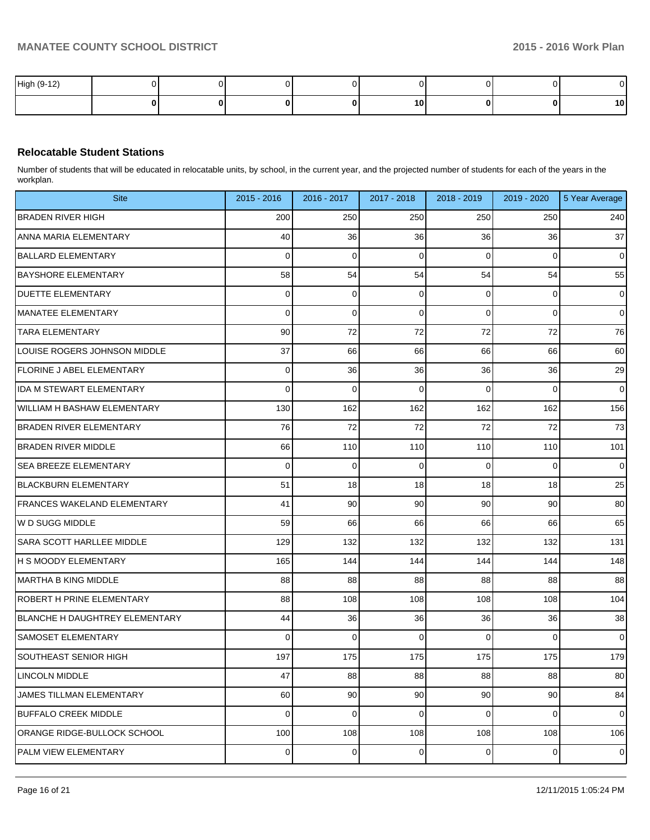| High (9-12) |  |  |    |   | υı              |
|-------------|--|--|----|---|-----------------|
|             |  |  | 10 | 0 | 10 <sub>1</sub> |

# **Relocatable Student Stations**

Number of students that will be educated in relocatable units, by school, in the current year, and the projected number of students for each of the years in the workplan.

| <b>Site</b>                           | 2015 - 2016 | 2016 - 2017 | 2017 - 2018 | 2018 - 2019    | 2019 - 2020 | 5 Year Average |
|---------------------------------------|-------------|-------------|-------------|----------------|-------------|----------------|
| <b>BRADEN RIVER HIGH</b>              | 200         | 250         | 250         | 250            | 250         | 240            |
| ANNA MARIA ELEMENTARY                 | 40          | 36          | 36          | 36             | 36          | 37             |
| <b>BALLARD ELEMENTARY</b>             | 0           | 0           | $\mathbf 0$ | 0              | 0           | $\mathbf 0$    |
| <b>BAYSHORE ELEMENTARY</b>            | 58          | 54          | 54          | 54             | 54          | 55             |
| <b>DUETTE ELEMENTARY</b>              | 0           | 0           | $\mathbf 0$ | 0              | 0           | $\mathbf 0$    |
| <b>MANATEE ELEMENTARY</b>             | 0           | 0           | $\mathbf 0$ | 0              | 0           | $\overline{0}$ |
| <b>TARA ELEMENTARY</b>                | 90          | 72          | 72          | 72             | 72          | 76             |
| LOUISE ROGERS JOHNSON MIDDLE          | 37          | 66          | 66          | 66             | 66          | 60             |
| <b>FLORINE J ABEL ELEMENTARY</b>      | 0           | 36          | 36          | 36             | 36          | 29             |
| <b>IDA M STEWART ELEMENTARY</b>       | 0           | 0           | 0           | 0              | 0           | $\overline{0}$ |
| WILLIAM H BASHAW ELEMENTARY           | 130         | 162         | 162         | 162            | 162         | 156            |
| <b>BRADEN RIVER ELEMENTARY</b>        | 76          | 72          | 72          | 72             | 72          | 73             |
| <b>BRADEN RIVER MIDDLE</b>            | 66          | 110         | 110         | 110            | 110         | 101            |
| <b>SEA BREEZE ELEMENTARY</b>          | 0           | 0           | $\mathbf 0$ | 0              | 0           | 0              |
| <b>BLACKBURN ELEMENTARY</b>           | 51          | 18          | 18          | 18             | 18          | 25             |
| FRANCES WAKELAND ELEMENTARY           | 41          | 90          | 90          | 90             | 90          | 80             |
| W D SUGG MIDDLE                       | 59          | 66          | 66          | 66             | 66          | 65             |
| SARA SCOTT HARLLEE MIDDLE             | 129         | 132         | 132         | 132            | 132         | 131            |
| <b>H S MOODY ELEMENTARY</b>           | 165         | 144         | 144         | 144            | 144         | 148            |
| MARTHA B KING MIDDLE                  | 88          | 88          | 88          | 88             | 88          | 88             |
| <b>ROBERT H PRINE ELEMENTARY</b>      | 88          | 108         | 108         | 108            | 108         | 104            |
| <b>BLANCHE H DAUGHTREY ELEMENTARY</b> | 44          | 36          | 36          | 36             | 36          | 38             |
| <b>SAMOSET ELEMENTARY</b>             | 0           | 0           | $\mathbf 0$ | 0              | 0           | $\overline{0}$ |
| <b>SOUTHEAST SENIOR HIGH</b>          | 197         | 175         | 175         | 175            | 175         | 179            |
| LINCOLN MIDDLE                        | 47          | 88          | 88          | 88             | 88          | 80             |
| JAMES TILLMAN ELEMENTARY              | 60          | 90          | 90          | 90             | 90          | 84             |
| <b>BUFFALO CREEK MIDDLE</b>           | 0           | $\mathbf 0$ | $\mathbf 0$ | 0              | 0           | $\mathbf 0$    |
| ORANGE RIDGE-BULLOCK SCHOOL           | 100         | 108         | 108         | 108            | 108         | 106            |
| PALM VIEW ELEMENTARY                  | 0           | 0           | 0           | $\overline{0}$ | $\mathbf 0$ | $\mathbf 0$    |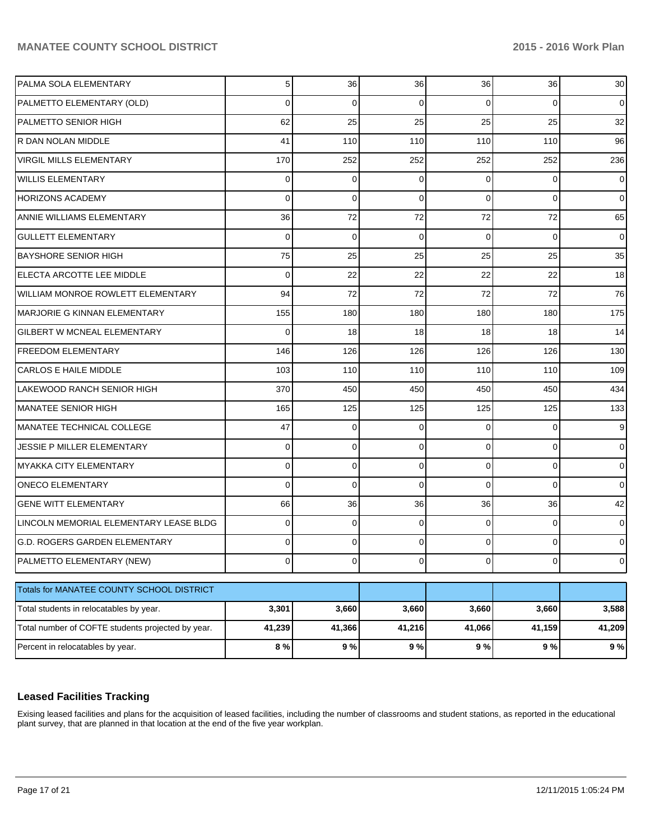| PALMA SOLA ELEMENTARY                             | 5 <sup>1</sup> | 36       | 36       | 36             | 36             | 30             |
|---------------------------------------------------|----------------|----------|----------|----------------|----------------|----------------|
| PALMETTO ELEMENTARY (OLD)                         | $\Omega$       | $\Omega$ | $\Omega$ | $\Omega$       | 0              | 0              |
| <b>PALMETTO SENIOR HIGH</b>                       | 62             | 25       | 25       | 25             | 25             | 32             |
| R DAN NOLAN MIDDLE                                | 41             | 110      | 110      | 110            | 110            | 96             |
| <b>VIRGIL MILLS ELEMENTARY</b>                    | 170            | 252      | 252      | 252            | 252            | 236            |
| <b>WILLIS ELEMENTARY</b>                          | $\Omega$       | $\Omega$ | $\Omega$ | $\Omega$       | $\Omega$       | 0              |
| <b>HORIZONS ACADEMY</b>                           | $\Omega$       | $\Omega$ | $\Omega$ | $\Omega$       | $\Omega$       | 0              |
| ANNIE WILLIAMS ELEMENTARY                         | 36             | 72       | 72       | 72             | 72             | 65             |
| <b>GULLETT ELEMENTARY</b>                         | $\Omega$       | $\Omega$ | $\Omega$ | $\Omega$       | $\Omega$       | 0              |
| <b>BAYSHORE SENIOR HIGH</b>                       | 75             | 25       | 25       | 25             | 25             | 35             |
| ELECTA ARCOTTE LEE MIDDLE                         | $\Omega$       | 22       | 22       | 22             | 22             | 18             |
| WILLIAM MONROE ROWLETT ELEMENTARY                 | 94             | 72       | 72       | 72             | 72             | 76             |
| MARJORIE G KINNAN ELEMENTARY                      | 155            | 180      | 180      | 180            | 180            | 175            |
| <b>GILBERT W MCNEAL ELEMENTARY</b>                | $\Omega$       | 18       | 18       | 18             | 18             | 14             |
| <b>IFREEDOM ELEMENTARY</b>                        | 146            | 126      | 126      | 126            | 126            | 130            |
| <b>CARLOS E HAILE MIDDLE</b>                      | 103            | 110      | 110      | 110            | 110            | 109            |
| LAKEWOOD RANCH SENIOR HIGH                        | 370            | 450      | 450      | 450            | 450            | 434            |
| MANATEE SENIOR HIGH                               | 165            | 125      | 125      | 125            | 125            | 133            |
| MANATEE TECHNICAL COLLEGE                         | 47             | $\Omega$ | $\Omega$ | $\Omega$       | $\Omega$       | 9              |
| JESSIE P MILLER ELEMENTARY                        | $\Omega$       | $\Omega$ | $\Omega$ | $\Omega$       | $\Omega$       | $\Omega$       |
| MYAKKA CITY ELEMENTARY                            | $\Omega$       | $\Omega$ | $\Omega$ | $\Omega$       | 0              | 0              |
| <b>ONECO ELEMENTARY</b>                           | $\Omega$       | $\Omega$ | $\Omega$ | $\Omega$       | $\Omega$       | $\Omega$       |
| <b>GENE WITT ELEMENTARY</b>                       | 66             | 36       | 36       | 36             | 36             | 42             |
| LINCOLN MEMORIAL ELEMENTARY LEASE BLDG            | $\Omega$       | $\Omega$ | $\Omega$ | $\Omega$       | $\Omega$       | $\Omega$       |
| <b>G.D. ROGERS GARDEN ELEMENTARY</b>              | $\Omega$       | $\Omega$ | 0        | $\Omega$       | $\Omega$       | 0              |
| PALMETTO ELEMENTARY (NEW)                         | $\overline{0}$ | $\circ$  | οI       | $\overline{0}$ | $\overline{0}$ | $\overline{0}$ |
|                                                   |                |          |          |                |                |                |
| Totals for MANATEE COUNTY SCHOOL DISTRICT         |                |          |          |                |                |                |
| Total students in relocatables by year.           | 3,301          | 3,660    | 3,660    | 3,660          | 3,660          | 3,588          |
| Total number of COFTE students projected by year. | 41,239         | 41,366   | 41,216   | 41,066         | 41,159         | 41,209         |
| Percent in relocatables by year.                  | 8 %            | $9%$     | 9%       | 9%             | $9%$           | 9%             |

# **Leased Facilities Tracking**

Exising leased facilities and plans for the acquisition of leased facilities, including the number of classrooms and student stations, as reported in the educational plant survey, that are planned in that location at the end of the five year workplan.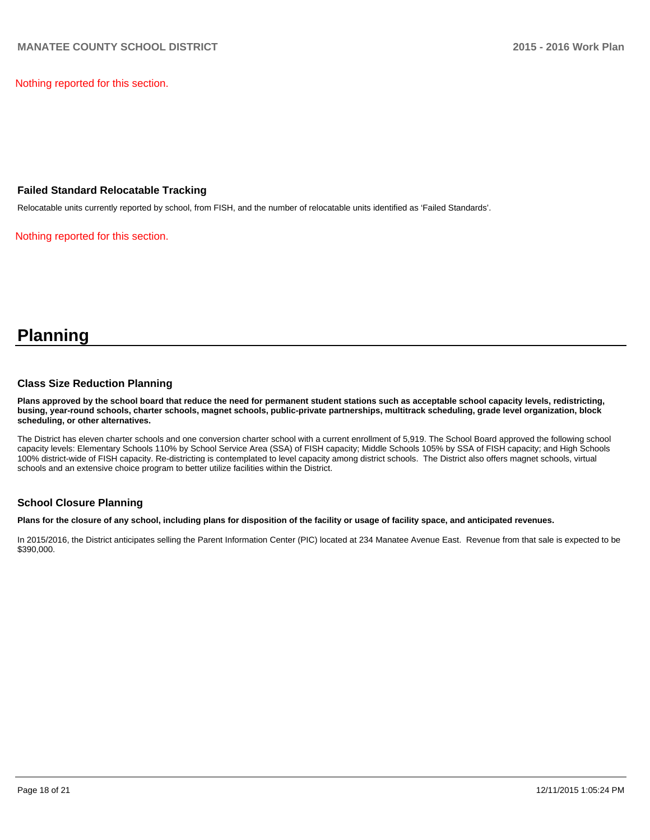Nothing reported for this section.

#### **Failed Standard Relocatable Tracking**

Relocatable units currently reported by school, from FISH, and the number of relocatable units identified as 'Failed Standards'.

Nothing reported for this section.

# **Planning**

#### **Class Size Reduction Planning**

**Plans approved by the school board that reduce the need for permanent student stations such as acceptable school capacity levels, redistricting, busing, year-round schools, charter schools, magnet schools, public-private partnerships, multitrack scheduling, grade level organization, block scheduling, or other alternatives.**

The District has eleven charter schools and one conversion charter school with a current enrollment of 5,919. The School Board approved the following school capacity levels: Elementary Schools 110% by School Service Area (SSA) of FISH capacity; Middle Schools 105% by SSA of FISH capacity; and High Schools 100% district-wide of FISH capacity. Re-districting is contemplated to level capacity among district schools. The District also offers magnet schools, virtual schools and an extensive choice program to better utilize facilities within the District.

### **School Closure Planning**

**Plans for the closure of any school, including plans for disposition of the facility or usage of facility space, and anticipated revenues.**

In 2015/2016, the District anticipates selling the Parent Information Center (PIC) located at 234 Manatee Avenue East. Revenue from that sale is expected to be \$390,000.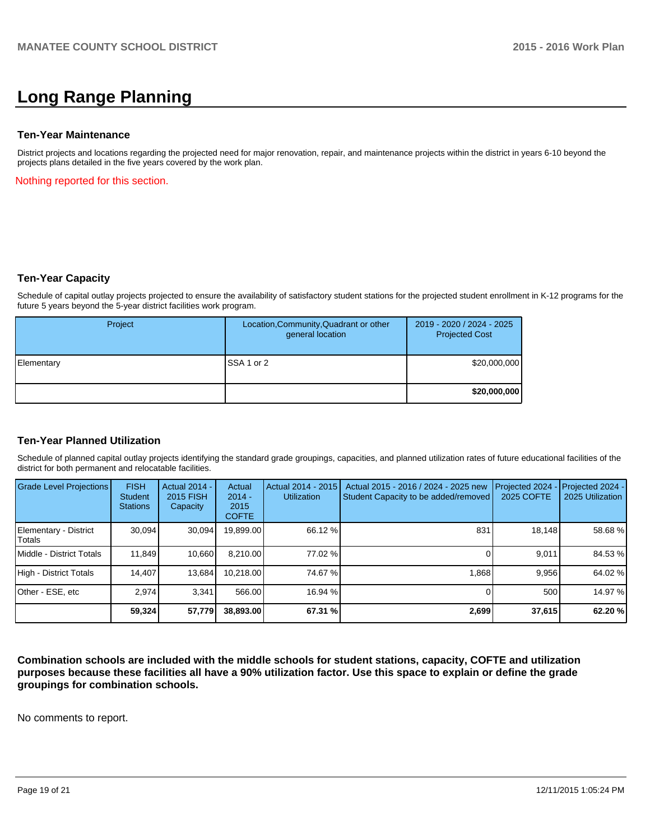# **Long Range Planning**

#### **Ten-Year Maintenance**

District projects and locations regarding the projected need for major renovation, repair, and maintenance projects within the district in years 6-10 beyond the projects plans detailed in the five years covered by the work plan.

Nothing reported for this section.

### **Ten-Year Capacity**

Schedule of capital outlay projects projected to ensure the availability of satisfactory student stations for the projected student enrollment in K-12 programs for the future 5 years beyond the 5-year district facilities work program.

| Project    | Location, Community, Quadrant or other<br>general location | 2019 - 2020 / 2024 - 2025<br><b>Projected Cost</b> |
|------------|------------------------------------------------------------|----------------------------------------------------|
| Elementary | <b>ISSA 1 or 2</b>                                         | \$20,000,000                                       |
|            |                                                            | \$20,000,000                                       |

### **Ten-Year Planned Utilization**

Schedule of planned capital outlay projects identifying the standard grade groupings, capacities, and planned utilization rates of future educational facilities of the district for both permanent and relocatable facilities.

| <b>Grade Level Projections</b>  | <b>FISH</b><br><b>Student</b><br><b>Stations</b> | Actual 2014 -<br>2015 FISH<br>Capacity | Actual<br>$2014 -$<br>2015<br><b>COFTE</b> | Actual 2014 - 2015<br><b>Utilization</b> | Actual 2015 - 2016 / 2024 - 2025 new<br>Student Capacity to be added/removed | Projected 2024<br>2025 COFTE | Projected 2024 -<br>2025 Utilization |
|---------------------------------|--------------------------------------------------|----------------------------------------|--------------------------------------------|------------------------------------------|------------------------------------------------------------------------------|------------------------------|--------------------------------------|
| Elementary - District<br>Totals | 30,094                                           | 30,094                                 | 19,899.00                                  | 66.12 %                                  | 831                                                                          | 18,148                       | 58.68%                               |
| Middle - District Totals        | 11.849                                           | 10.660                                 | 8.210.00                                   | 77.02 %                                  |                                                                              | 9.011                        | 84.53 %                              |
| High - District Totals          | 14.407                                           | 13.684                                 | 10.218.00                                  | 74.67 %                                  | 1.868                                                                        | 9.956                        | 64.02 %                              |
| Other - ESE, etc                | 2.974                                            | 3.341                                  | 566.00                                     | 16.94 %                                  |                                                                              | 500                          | 14.97 %                              |
|                                 | 59,324                                           | 57,779                                 | 38,893.00                                  | 67.31 %                                  | 2,699                                                                        | 37,615                       | 62.20%                               |

**Combination schools are included with the middle schools for student stations, capacity, COFTE and utilization purposes because these facilities all have a 90% utilization factor. Use this space to explain or define the grade groupings for combination schools.**

No comments to report.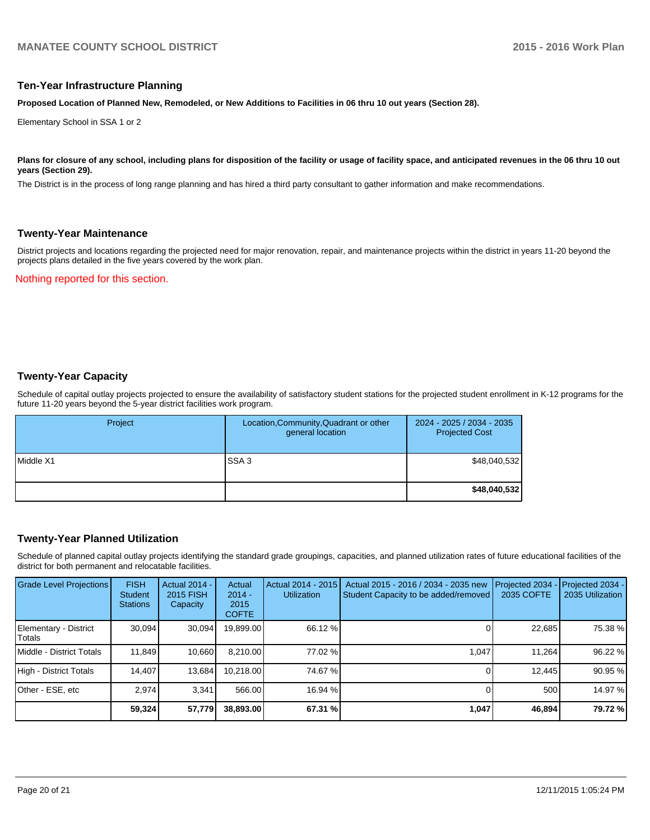#### **Ten-Year Infrastructure Planning**

**Proposed Location of Planned New, Remodeled, or New Additions to Facilities in 06 thru 10 out years (Section 28).**

Elementary School in SSA 1 or 2

#### Plans for closure of any school, including plans for disposition of the facility or usage of facility space, and anticipated revenues in the 06 thru 10 out **years (Section 29).**

The District is in the process of long range planning and has hired a third party consultant to gather information and make recommendations.

#### **Twenty-Year Maintenance**

District projects and locations regarding the projected need for major renovation, repair, and maintenance projects within the district in years 11-20 beyond the projects plans detailed in the five years covered by the work plan.

Nothing reported for this section.

## **Twenty-Year Capacity**

Schedule of capital outlay projects projected to ensure the availability of satisfactory student stations for the projected student enrollment in K-12 programs for the future 11-20 years beyond the 5-year district facilities work program.

| Project   | Location, Community, Quadrant or other<br>general location | 2024 - 2025 / 2034 - 2035<br><b>Projected Cost</b> |
|-----------|------------------------------------------------------------|----------------------------------------------------|
| Middle X1 | SSA <sub>3</sub>                                           | \$48,040,532                                       |
|           |                                                            | \$48,040,532                                       |

### **Twenty-Year Planned Utilization**

Schedule of planned capital outlay projects identifying the standard grade groupings, capacities, and planned utilization rates of future educational facilities of the district for both permanent and relocatable facilities.

| <b>Grade Level Projections</b>   | <b>FISH</b><br><b>Student</b><br><b>Stations</b> | <b>Actual 2014 -</b><br>2015 FISH<br>Capacity | Actual<br>$2014 -$<br>2015<br><b>COFTE</b> | Actual 2014 - 2015<br>Utilization | Actual 2015 - 2016 / 2034 - 2035 new<br>Student Capacity to be added/removed | Projected 2034<br>2035 COFTE | Projected 2034 -<br>2035 Utilization |
|----------------------------------|--------------------------------------------------|-----------------------------------------------|--------------------------------------------|-----------------------------------|------------------------------------------------------------------------------|------------------------------|--------------------------------------|
| Elementary - District<br>Totals  | 30.094                                           | 30,094                                        | 19,899.00                                  | 66.12 %                           |                                                                              | 22,685                       | 75.38 %                              |
| <b>IMiddle - District Totals</b> | 11.849                                           | 10.660                                        | 8.210.00                                   | 77.02 %                           | 1.047                                                                        | 11.264                       | 96.22 %                              |
| High - District Totals           | 14.407                                           | 13,684                                        | 10.218.00                                  | 74.67 %                           |                                                                              | 12.445                       | 90.95 %                              |
| Other - ESE, etc                 | 2.974                                            | 3.341                                         | 566.00                                     | 16.94 %                           |                                                                              | 500                          | 14.97 %                              |
|                                  | 59,324                                           | 57,779                                        | 38,893.00                                  | 67.31 %                           | 1,047                                                                        | 46,894                       | 79.72 %                              |